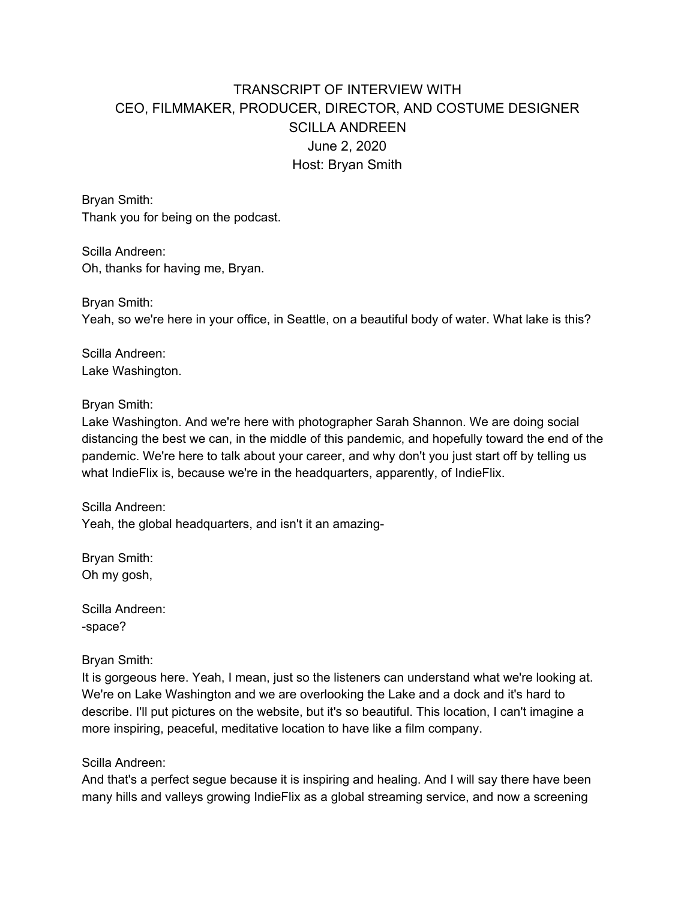# TRANSCRIPT OF INTERVIEW WITH CEO, FILMMAKER, PRODUCER, DIRECTOR, AND COSTUME DESIGNER SCILLA ANDREEN June 2, 2020 Host: Bryan Smith

Bryan Smith: Thank you for being on the podcast.

Scilla Andreen: Oh, thanks for having me, Bryan.

Bryan Smith: Yeah, so we're here in your office, in Seattle, on a beautiful body of water. What lake is this?

Scilla Andreen: Lake Washington.

Bryan Smith:

Lake Washington. And we're here with photographer Sarah Shannon. We are doing social distancing the best we can, in the middle of this pandemic, and hopefully toward the end of the pandemic. We're here to talk about your career, and why don't you just start off by telling us what IndieFlix is, because we're in the headquarters, apparently, of IndieFlix.

Scilla Andreen: Yeah, the global headquarters, and isn't it an amazing-

Bryan Smith: Oh my gosh,

Scilla Andreen: -space?

Bryan Smith:

It is gorgeous here. Yeah, I mean, just so the listeners can understand what we're looking at. We're on Lake Washington and we are overlooking the Lake and a dock and it's hard to describe. I'll put pictures on the website, but it's so beautiful. This location, I can't imagine a more inspiring, peaceful, meditative location to have like a film company.

Scilla Andreen:

And that's a perfect segue because it is inspiring and healing. And I will say there have been many hills and valleys growing IndieFlix as a global streaming service, and now a screening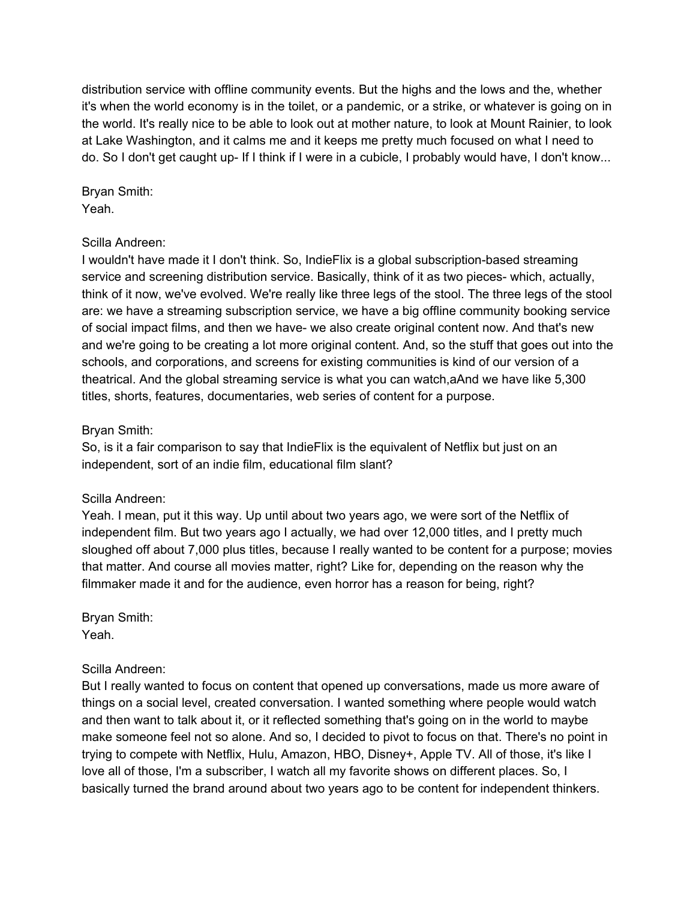distribution service with offline community events. But the highs and the lows and the, whether it's when the world economy is in the toilet, or a pandemic, or a strike, or whatever is going on in the world. It's really nice to be able to look out at mother nature, to look at Mount Rainier, to look at Lake Washington, and it calms me and it keeps me pretty much focused on what I need to do. So I don't get caught up- If I think if I were in a cubicle, I probably would have, I don't know...

Bryan Smith: Yeah.

### Scilla Andreen:

I wouldn't have made it I don't think. So, IndieFlix is a global subscription-based streaming service and screening distribution service. Basically, think of it as two pieces- which, actually, think of it now, we've evolved. We're really like three legs of the stool. The three legs of the stool are: we have a streaming subscription service, we have a big offline community booking service of social impact films, and then we have- we also create original content now. And that's new and we're going to be creating a lot more original content. And, so the stuff that goes out into the schools, and corporations, and screens for existing communities is kind of our version of a theatrical. And the global streaming service is what you can watch,aAnd we have like 5,300 titles, shorts, features, documentaries, web series of content for a purpose.

### Bryan Smith:

So, is it a fair comparison to say that IndieFlix is the equivalent of Netflix but just on an independent, sort of an indie film, educational film slant?

# Scilla Andreen:

Yeah. I mean, put it this way. Up until about two years ago, we were sort of the Netflix of independent film. But two years ago I actually, we had over 12,000 titles, and I pretty much sloughed off about 7,000 plus titles, because I really wanted to be content for a purpose; movies that matter. And course all movies matter, right? Like for, depending on the reason why the filmmaker made it and for the audience, even horror has a reason for being, right?

Bryan Smith: Yeah.

# Scilla Andreen:

But I really wanted to focus on content that opened up conversations, made us more aware of things on a social level, created conversation. I wanted something where people would watch and then want to talk about it, or it reflected something that's going on in the world to maybe make someone feel not so alone. And so, I decided to pivot to focus on that. There's no point in trying to compete with Netflix, Hulu, Amazon, HBO, Disney+, Apple TV. All of those, it's like I love all of those, I'm a subscriber, I watch all my favorite shows on different places. So, I basically turned the brand around about two years ago to be content for independent thinkers.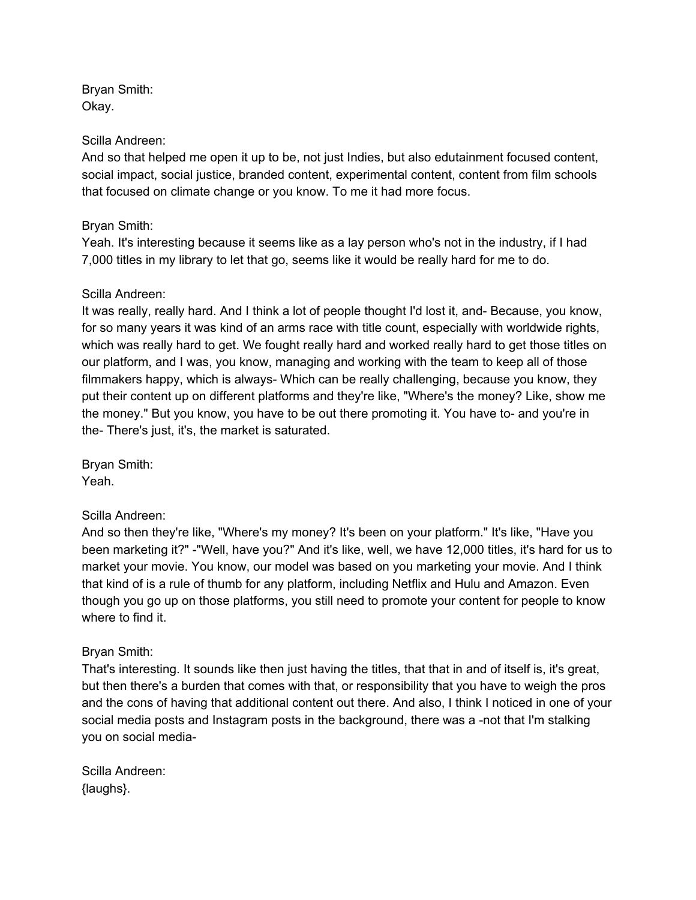Bryan Smith: Okay.

#### Scilla Andreen:

And so that helped me open it up to be, not just Indies, but also edutainment focused content, social impact, social justice, branded content, experimental content, content from film schools that focused on climate change or you know. To me it had more focus.

#### Bryan Smith:

Yeah. It's interesting because it seems like as a lay person who's not in the industry, if I had 7,000 titles in my library to let that go, seems like it would be really hard for me to do.

#### Scilla Andreen:

It was really, really hard. And I think a lot of people thought I'd lost it, and- Because, you know, for so many years it was kind of an arms race with title count, especially with worldwide rights, which was really hard to get. We fought really hard and worked really hard to get those titles on our platform, and I was, you know, managing and working with the team to keep all of those filmmakers happy, which is always- Which can be really challenging, because you know, they put their content up on different platforms and they're like, "Where's the money? Like, show me the money." But you know, you have to be out there promoting it. You have to- and you're in the- There's just, it's, the market is saturated.

Bryan Smith: Yeah.

#### Scilla Andreen:

And so then they're like, "Where's my money? It's been on your platform." It's like, "Have you been marketing it?" -"Well, have you?" And it's like, well, we have 12,000 titles, it's hard for us to market your movie. You know, our model was based on you marketing your movie. And I think that kind of is a rule of thumb for any platform, including Netflix and Hulu and Amazon. Even though you go up on those platforms, you still need to promote your content for people to know where to find it.

# Bryan Smith:

That's interesting. It sounds like then just having the titles, that that in and of itself is, it's great, but then there's a burden that comes with that, or responsibility that you have to weigh the pros and the cons of having that additional content out there. And also, I think I noticed in one of your social media posts and Instagram posts in the background, there was a -not that I'm stalking you on social media-

Scilla Andreen: {laughs}.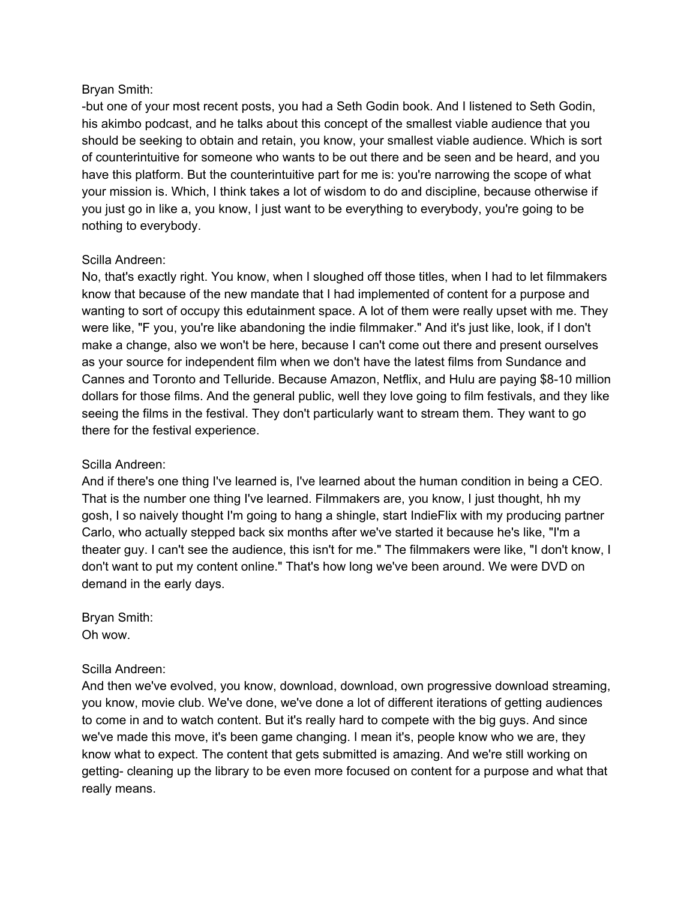### Bryan Smith:

-but one of your most recent posts, you had a Seth Godin book. And I listened to Seth Godin, his akimbo podcast, and he talks about this concept of the smallest viable audience that you should be seeking to obtain and retain, you know, your smallest viable audience. Which is sort of counterintuitive for someone who wants to be out there and be seen and be heard, and you have this platform. But the counterintuitive part for me is: you're narrowing the scope of what your mission is. Which, I think takes a lot of wisdom to do and discipline, because otherwise if you just go in like a, you know, I just want to be everything to everybody, you're going to be nothing to everybody.

### Scilla Andreen:

No, that's exactly right. You know, when I sloughed off those titles, when I had to let filmmakers know that because of the new mandate that I had implemented of content for a purpose and wanting to sort of occupy this edutainment space. A lot of them were really upset with me. They were like, "F you, you're like abandoning the indie filmmaker." And it's just like, look, if I don't make a change, also we won't be here, because I can't come out there and present ourselves as your source for independent film when we don't have the latest films from Sundance and Cannes and Toronto and Telluride. Because Amazon, Netflix, and Hulu are paying \$8-10 million dollars for those films. And the general public, well they love going to film festivals, and they like seeing the films in the festival. They don't particularly want to stream them. They want to go there for the festival experience.

#### Scilla Andreen:

And if there's one thing I've learned is, I've learned about the human condition in being a CEO. That is the number one thing I've learned. Filmmakers are, you know, I just thought, hh my gosh, I so naively thought I'm going to hang a shingle, start IndieFlix with my producing partner Carlo, who actually stepped back six months after we've started it because he's like, "I'm a theater guy. I can't see the audience, this isn't for me." The filmmakers were like, "I don't know, I don't want to put my content online." That's how long we've been around. We were DVD on demand in the early days.

Bryan Smith: Oh wow.

#### Scilla Andreen:

And then we've evolved, you know, download, download, own progressive download streaming, you know, movie club. We've done, we've done a lot of different iterations of getting audiences to come in and to watch content. But it's really hard to compete with the big guys. And since we've made this move, it's been game changing. I mean it's, people know who we are, they know what to expect. The content that gets submitted is amazing. And we're still working on getting- cleaning up the library to be even more focused on content for a purpose and what that really means.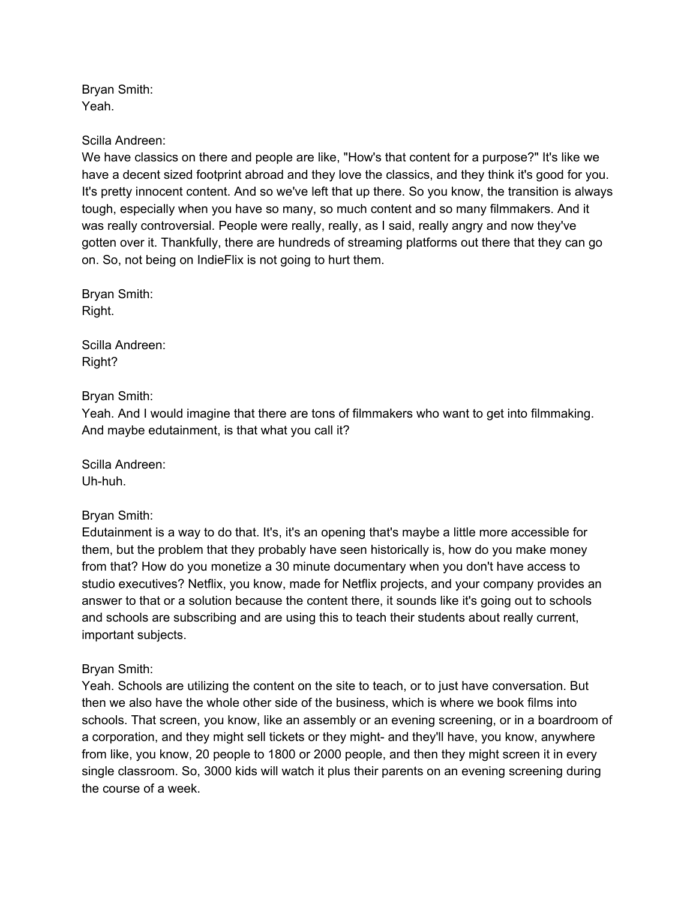Bryan Smith: Yeah.

#### Scilla Andreen:

We have classics on there and people are like, "How's that content for a purpose?" It's like we have a decent sized footprint abroad and they love the classics, and they think it's good for you. It's pretty innocent content. And so we've left that up there. So you know, the transition is always tough, especially when you have so many, so much content and so many filmmakers. And it was really controversial. People were really, really, as I said, really angry and now they've gotten over it. Thankfully, there are hundreds of streaming platforms out there that they can go on. So, not being on IndieFlix is not going to hurt them.

Bryan Smith: Right.

Scilla Andreen: Right?

#### Bryan Smith:

Yeah. And I would imagine that there are tons of filmmakers who want to get into filmmaking. And maybe edutainment, is that what you call it?

Scilla Andreen: Uh-huh.

#### Bryan Smith:

Edutainment is a way to do that. It's, it's an opening that's maybe a little more accessible for them, but the problem that they probably have seen historically is, how do you make money from that? How do you monetize a 30 minute documentary when you don't have access to studio executives? Netflix, you know, made for Netflix projects, and your company provides an answer to that or a solution because the content there, it sounds like it's going out to schools and schools are subscribing and are using this to teach their students about really current, important subjects.

#### Bryan Smith:

Yeah. Schools are utilizing the content on the site to teach, or to just have conversation. But then we also have the whole other side of the business, which is where we book films into schools. That screen, you know, like an assembly or an evening screening, or in a boardroom of a corporation, and they might sell tickets or they might- and they'll have, you know, anywhere from like, you know, 20 people to 1800 or 2000 people, and then they might screen it in every single classroom. So, 3000 kids will watch it plus their parents on an evening screening during the course of a week.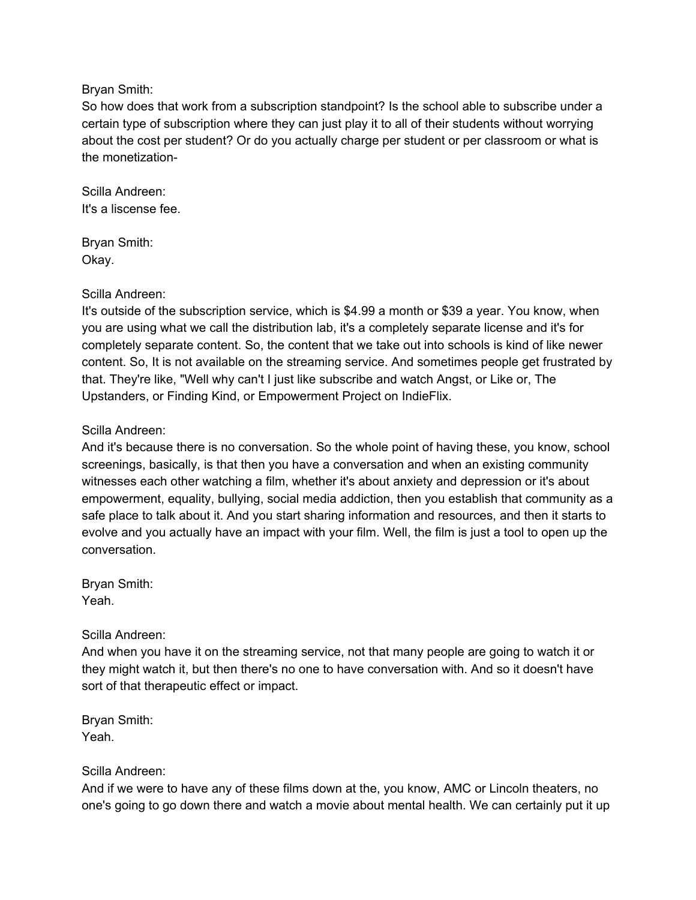#### Bryan Smith:

So how does that work from a subscription standpoint? Is the school able to subscribe under a certain type of subscription where they can just play it to all of their students without worrying about the cost per student? Or do you actually charge per student or per classroom or what is the monetization-

Scilla Andreen: It's a liscense fee.

Bryan Smith: Okay.

### Scilla Andreen:

It's outside of the subscription service, which is \$4.99 a month or \$39 a year. You know, when you are using what we call the distribution lab, it's a completely separate license and it's for completely separate content. So, the content that we take out into schools is kind of like newer content. So, It is not available on the streaming service. And sometimes people get frustrated by that. They're like, "Well why can't I just like subscribe and watch Angst, or Like or, The Upstanders, or Finding Kind, or Empowerment Project on IndieFlix.

### Scilla Andreen:

And it's because there is no conversation. So the whole point of having these, you know, school screenings, basically, is that then you have a conversation and when an existing community witnesses each other watching a film, whether it's about anxiety and depression or it's about empowerment, equality, bullying, social media addiction, then you establish that community as a safe place to talk about it. And you start sharing information and resources, and then it starts to evolve and you actually have an impact with your film. Well, the film is just a tool to open up the conversation.

Bryan Smith: Yeah.

Scilla Andreen:

And when you have it on the streaming service, not that many people are going to watch it or they might watch it, but then there's no one to have conversation with. And so it doesn't have sort of that therapeutic effect or impact.

Bryan Smith: Yeah.

# Scilla Andreen:

And if we were to have any of these films down at the, you know, AMC or Lincoln theaters, no one's going to go down there and watch a movie about mental health. We can certainly put it up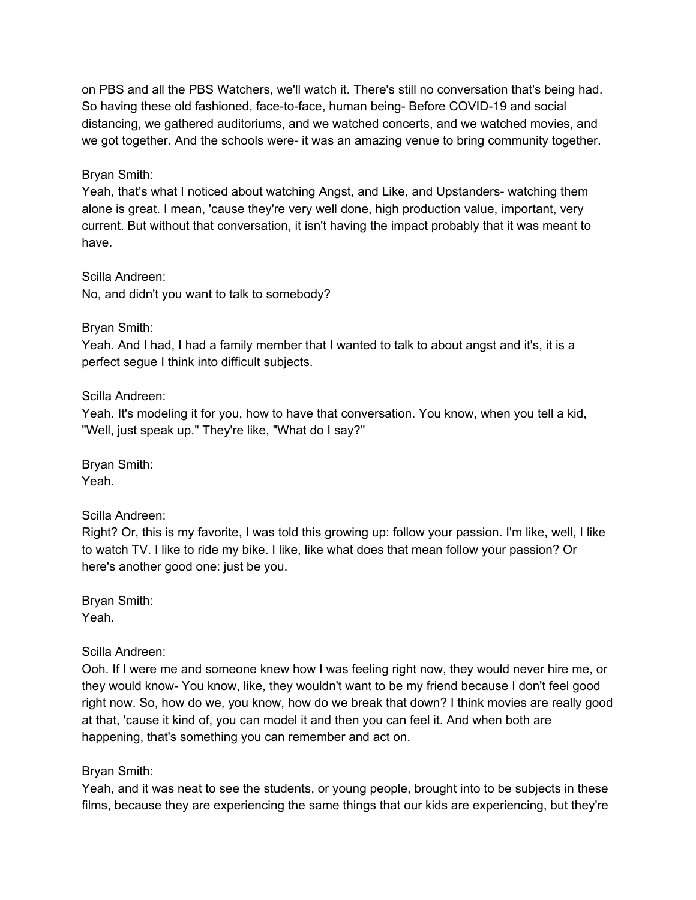on PBS and all the PBS Watchers, we'll watch it. There's still no conversation that's being had. So having these old fashioned, face-to-face, human being- Before COVID-19 and social distancing, we gathered auditoriums, and we watched concerts, and we watched movies, and we got together. And the schools were- it was an amazing venue to bring community together.

### Bryan Smith:

Yeah, that's what I noticed about watching Angst, and Like, and Upstanders- watching them alone is great. I mean, 'cause they're very well done, high production value, important, very current. But without that conversation, it isn't having the impact probably that it was meant to have.

Scilla Andreen:

No, and didn't you want to talk to somebody?

### Bryan Smith:

Yeah. And I had, I had a family member that I wanted to talk to about angst and it's, it is a perfect segue I think into difficult subjects.

### Scilla Andreen:

Yeah. It's modeling it for you, how to have that conversation. You know, when you tell a kid, "Well, just speak up." They're like, "What do I say?"

Bryan Smith: Yeah.

# Scilla Andreen:

Right? Or, this is my favorite, I was told this growing up: follow your passion. I'm like, well, I like to watch TV. I like to ride my bike. I like, like what does that mean follow your passion? Or here's another good one: just be you.

Bryan Smith: Yeah.

#### Scilla Andreen:

Ooh. If I were me and someone knew how I was feeling right now, they would never hire me, or they would know- You know, like, they wouldn't want to be my friend because I don't feel good right now. So, how do we, you know, how do we break that down? I think movies are really good at that, 'cause it kind of, you can model it and then you can feel it. And when both are happening, that's something you can remember and act on.

# Bryan Smith:

Yeah, and it was neat to see the students, or young people, brought into to be subjects in these films, because they are experiencing the same things that our kids are experiencing, but they're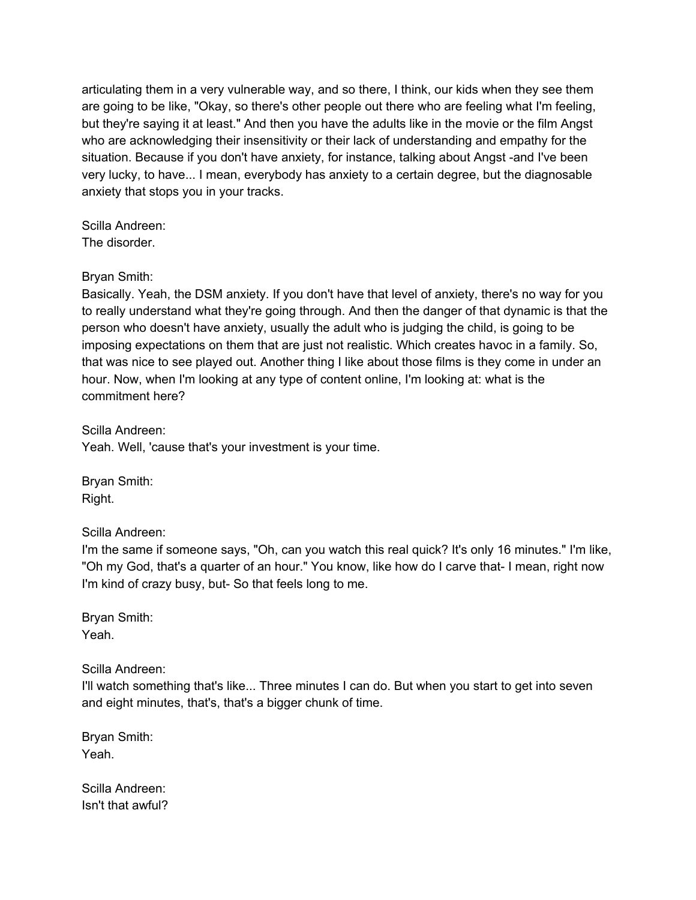articulating them in a very vulnerable way, and so there, I think, our kids when they see them are going to be like, "Okay, so there's other people out there who are feeling what I'm feeling, but they're saying it at least." And then you have the adults like in the movie or the film Angst who are acknowledging their insensitivity or their lack of understanding and empathy for the situation. Because if you don't have anxiety, for instance, talking about Angst -and I've been very lucky, to have... I mean, everybody has anxiety to a certain degree, but the diagnosable anxiety that stops you in your tracks.

Scilla Andreen: The disorder.

### Bryan Smith:

Basically. Yeah, the DSM anxiety. If you don't have that level of anxiety, there's no way for you to really understand what they're going through. And then the danger of that dynamic is that the person who doesn't have anxiety, usually the adult who is judging the child, is going to be imposing expectations on them that are just not realistic. Which creates havoc in a family. So, that was nice to see played out. Another thing I like about those films is they come in under an hour. Now, when I'm looking at any type of content online, I'm looking at: what is the commitment here?

Scilla Andreen: Yeah. Well, 'cause that's your investment is your time.

Bryan Smith: Right.

Scilla Andreen:

I'm the same if someone says, "Oh, can you watch this real quick? It's only 16 minutes." I'm like, "Oh my God, that's a quarter of an hour." You know, like how do I carve that- I mean, right now I'm kind of crazy busy, but- So that feels long to me.

Bryan Smith: Yeah.

Scilla Andreen:

I'll watch something that's like... Three minutes I can do. But when you start to get into seven and eight minutes, that's, that's a bigger chunk of time.

Bryan Smith: Yeah.

Scilla Andreen: Isn't that awful?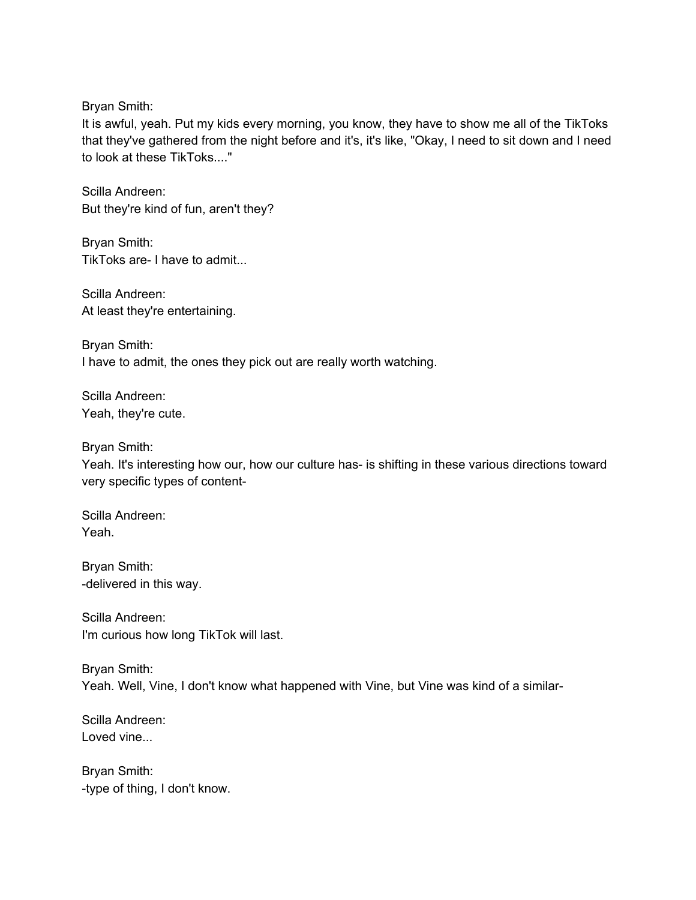Bryan Smith:

It is awful, yeah. Put my kids every morning, you know, they have to show me all of the TikToks that they've gathered from the night before and it's, it's like, "Okay, I need to sit down and I need to look at these TikToks...."

Scilla Andreen: But they're kind of fun, aren't they?

Bryan Smith: TikToks are- I have to admit...

Scilla Andreen: At least they're entertaining.

Bryan Smith: I have to admit, the ones they pick out are really worth watching.

Scilla Andreen: Yeah, they're cute.

Bryan Smith:

Yeah. It's interesting how our, how our culture has- is shifting in these various directions toward very specific types of content-

Scilla Andreen: Yeah.

Bryan Smith: -delivered in this way.

Scilla Andreen: I'm curious how long TikTok will last.

Bryan Smith: Yeah. Well, Vine, I don't know what happened with Vine, but Vine was kind of a similar-

Scilla Andreen: Loved vine...

Bryan Smith: -type of thing, I don't know.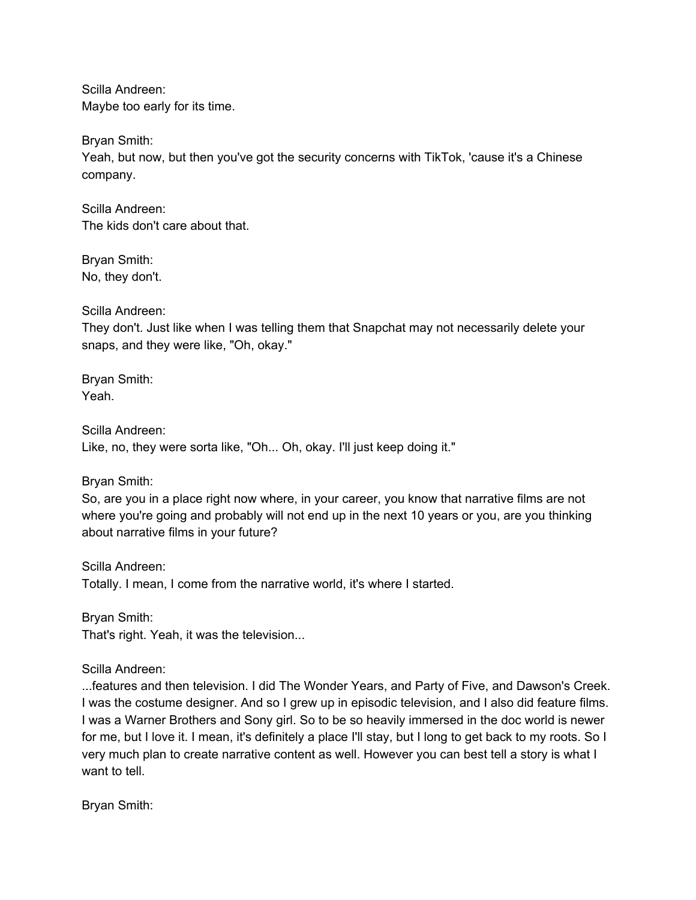Scilla Andreen: Maybe too early for its time.

Bryan Smith:

Yeah, but now, but then you've got the security concerns with TikTok, 'cause it's a Chinese company.

Scilla Andreen: The kids don't care about that.

Bryan Smith: No, they don't.

Scilla Andreen:

They don't. Just like when I was telling them that Snapchat may not necessarily delete your snaps, and they were like, "Oh, okay."

Bryan Smith: Yeah.

Scilla Andreen: Like, no, they were sorta like, "Oh... Oh, okay. I'll just keep doing it."

Bryan Smith:

So, are you in a place right now where, in your career, you know that narrative films are not where you're going and probably will not end up in the next 10 years or you, are you thinking about narrative films in your future?

Scilla Andreen: Totally. I mean, I come from the narrative world, it's where I started.

Bryan Smith: That's right. Yeah, it was the television...

Scilla Andreen:

...features and then television. I did The Wonder Years, and Party of Five, and Dawson's Creek. I was the costume designer. And so I grew up in episodic television, and I also did feature films. I was a Warner Brothers and Sony girl. So to be so heavily immersed in the doc world is newer for me, but I love it. I mean, it's definitely a place I'll stay, but I long to get back to my roots. So I very much plan to create narrative content as well. However you can best tell a story is what I want to tell.

Bryan Smith: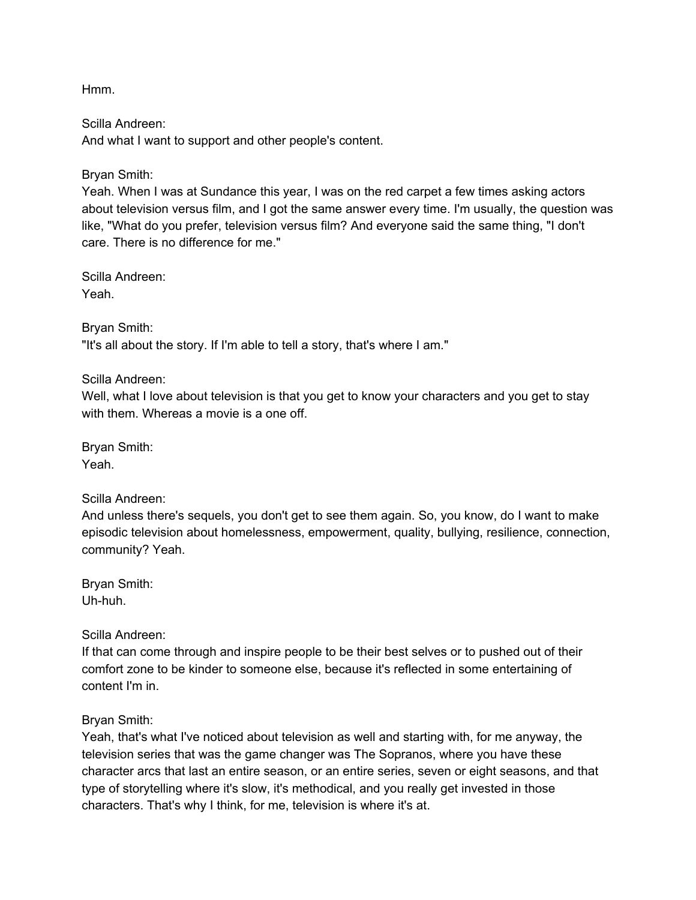Hmm.

Scilla Andreen: And what I want to support and other people's content.

Bryan Smith:

Yeah. When I was at Sundance this year, I was on the red carpet a few times asking actors about television versus film, and I got the same answer every time. I'm usually, the question was like, "What do you prefer, television versus film? And everyone said the same thing, "I don't care. There is no difference for me."

Scilla Andreen: Yeah.

Bryan Smith: "It's all about the story. If I'm able to tell a story, that's where I am."

Scilla Andreen:

Well, what I love about television is that you get to know your characters and you get to stay with them. Whereas a movie is a one off.

Bryan Smith: Yeah.

Scilla Andreen:

And unless there's sequels, you don't get to see them again. So, you know, do I want to make episodic television about homelessness, empowerment, quality, bullying, resilience, connection, community? Yeah.

Bryan Smith: Uh-huh.

Scilla Andreen:

If that can come through and inspire people to be their best selves or to pushed out of their comfort zone to be kinder to someone else, because it's reflected in some entertaining of content I'm in.

Bryan Smith:

Yeah, that's what I've noticed about television as well and starting with, for me anyway, the television series that was the game changer was The Sopranos, where you have these character arcs that last an entire season, or an entire series, seven or eight seasons, and that type of storytelling where it's slow, it's methodical, and you really get invested in those characters. That's why I think, for me, television is where it's at.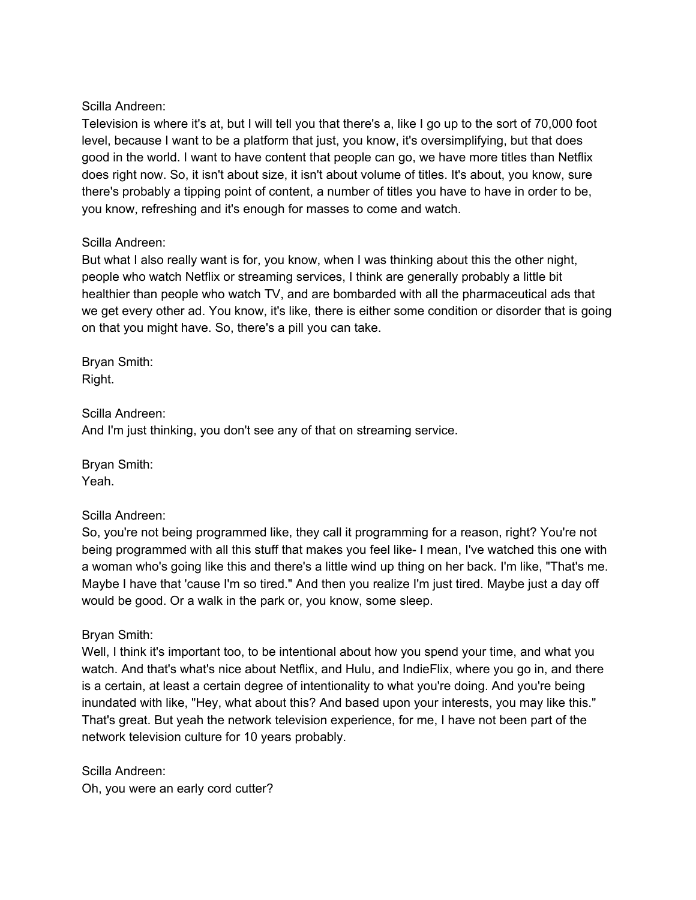#### Scilla Andreen:

Television is where it's at, but I will tell you that there's a, like I go up to the sort of 70,000 foot level, because I want to be a platform that just, you know, it's oversimplifying, but that does good in the world. I want to have content that people can go, we have more titles than Netflix does right now. So, it isn't about size, it isn't about volume of titles. It's about, you know, sure there's probably a tipping point of content, a number of titles you have to have in order to be, you know, refreshing and it's enough for masses to come and watch.

### Scilla Andreen:

But what I also really want is for, you know, when I was thinking about this the other night, people who watch Netflix or streaming services, I think are generally probably a little bit healthier than people who watch TV, and are bombarded with all the pharmaceutical ads that we get every other ad. You know, it's like, there is either some condition or disorder that is going on that you might have. So, there's a pill you can take.

Bryan Smith: Right.

Scilla Andreen: And I'm just thinking, you don't see any of that on streaming service.

Bryan Smith: Yeah.

#### Scilla Andreen:

So, you're not being programmed like, they call it programming for a reason, right? You're not being programmed with all this stuff that makes you feel like- I mean, I've watched this one with a woman who's going like this and there's a little wind up thing on her back. I'm like, "That's me. Maybe I have that 'cause I'm so tired." And then you realize I'm just tired. Maybe just a day off would be good. Or a walk in the park or, you know, some sleep.

# Bryan Smith:

Well, I think it's important too, to be intentional about how you spend your time, and what you watch. And that's what's nice about Netflix, and Hulu, and IndieFlix, where you go in, and there is a certain, at least a certain degree of intentionality to what you're doing. And you're being inundated with like, "Hey, what about this? And based upon your interests, you may like this." That's great. But yeah the network television experience, for me, I have not been part of the network television culture for 10 years probably.

Scilla Andreen: Oh, you were an early cord cutter?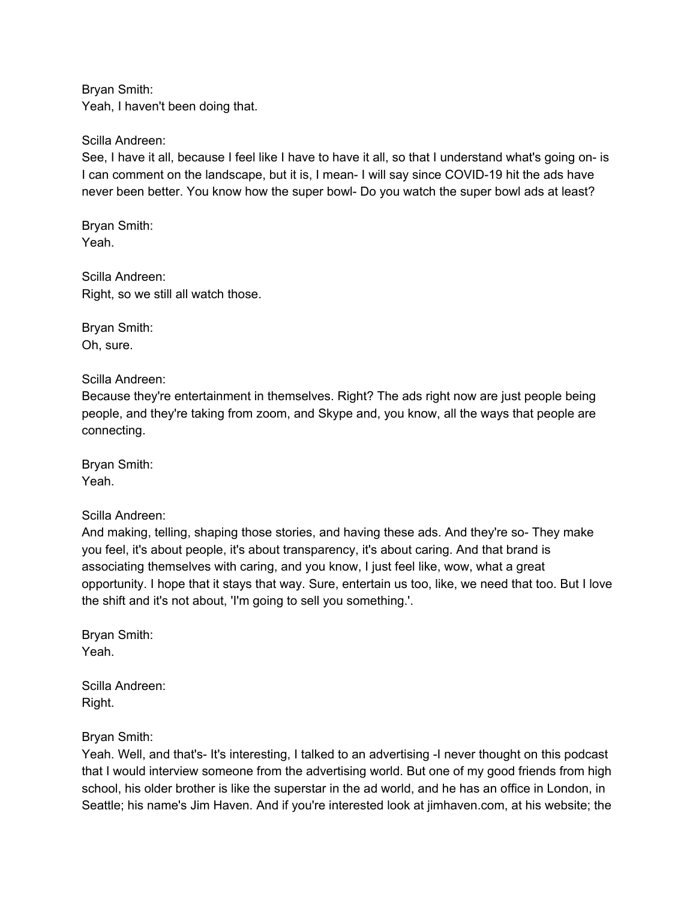Bryan Smith: Yeah, I haven't been doing that.

#### Scilla Andreen:

See, I have it all, because I feel like I have to have it all, so that I understand what's going on- is I can comment on the landscape, but it is, I mean- I will say since COVID-19 hit the ads have never been better. You know how the super bowl- Do you watch the super bowl ads at least?

Bryan Smith: Yeah.

Scilla Andreen: Right, so we still all watch those.

Bryan Smith: Oh, sure.

Scilla Andreen:

Because they're entertainment in themselves. Right? The ads right now are just people being people, and they're taking from zoom, and Skype and, you know, all the ways that people are connecting.

Bryan Smith: Yeah.

#### Scilla Andreen:

And making, telling, shaping those stories, and having these ads. And they're so- They make you feel, it's about people, it's about transparency, it's about caring. And that brand is associating themselves with caring, and you know, I just feel like, wow, what a great opportunity. I hope that it stays that way. Sure, entertain us too, like, we need that too. But I love the shift and it's not about, 'I'm going to sell you something.'.

Bryan Smith: Yeah.

Scilla Andreen: Right.

Bryan Smith:

Yeah. Well, and that's- It's interesting, I talked to an advertising -I never thought on this podcast that I would interview someone from the advertising world. But one of my good friends from high school, his older brother is like the superstar in the ad world, and he has an office in London, in Seattle; his name's Jim Haven. And if you're interested look at jimhaven.com, at his website; the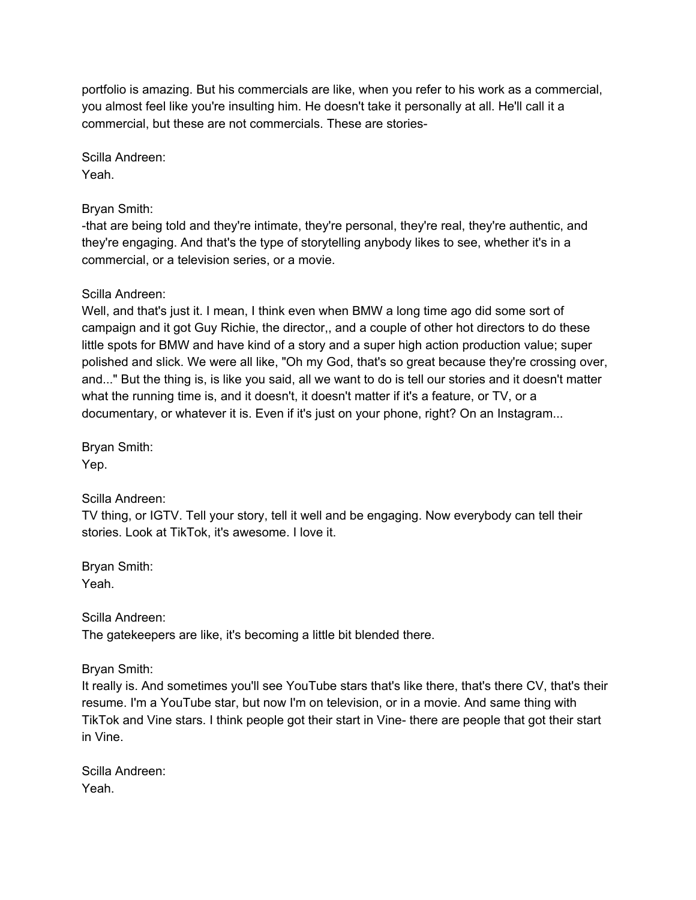portfolio is amazing. But his commercials are like, when you refer to his work as a commercial, you almost feel like you're insulting him. He doesn't take it personally at all. He'll call it a commercial, but these are not commercials. These are stories-

Scilla Andreen: Yeah.

# Bryan Smith:

-that are being told and they're intimate, they're personal, they're real, they're authentic, and they're engaging. And that's the type of storytelling anybody likes to see, whether it's in a commercial, or a television series, or a movie.

# Scilla Andreen:

Well, and that's just it. I mean, I think even when BMW a long time ago did some sort of campaign and it got Guy Richie, the director,, and a couple of other hot directors to do these little spots for BMW and have kind of a story and a super high action production value; super polished and slick. We were all like, "Oh my God, that's so great because they're crossing over, and..." But the thing is, is like you said, all we want to do is tell our stories and it doesn't matter what the running time is, and it doesn't, it doesn't matter if it's a feature, or TV, or a documentary, or whatever it is. Even if it's just on your phone, right? On an Instagram...

Bryan Smith: Yep.

# Scilla Andreen:

TV thing, or IGTV. Tell your story, tell it well and be engaging. Now everybody can tell their stories. Look at TikTok, it's awesome. I love it.

Bryan Smith: Yeah.

Scilla Andreen:

The gatekeepers are like, it's becoming a little bit blended there.

Bryan Smith:

It really is. And sometimes you'll see YouTube stars that's like there, that's there CV, that's their resume. I'm a YouTube star, but now I'm on television, or in a movie. And same thing with TikTok and Vine stars. I think people got their start in Vine- there are people that got their start in Vine.

Scilla Andreen: Yeah.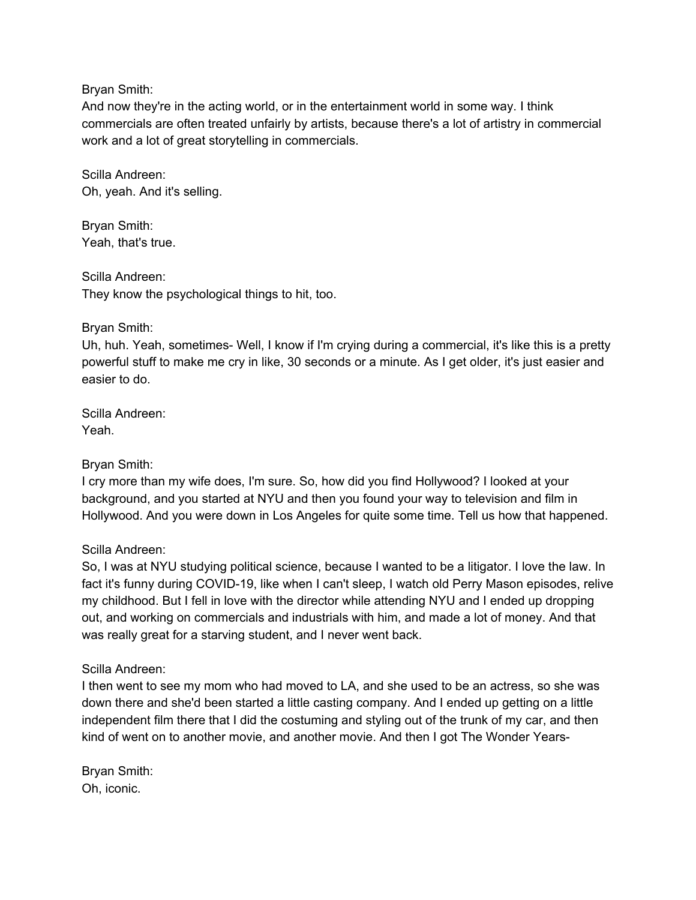#### Bryan Smith:

And now they're in the acting world, or in the entertainment world in some way. I think commercials are often treated unfairly by artists, because there's a lot of artistry in commercial work and a lot of great storytelling in commercials.

Scilla Andreen: Oh, yeah. And it's selling.

Bryan Smith: Yeah, that's true.

Scilla Andreen: They know the psychological things to hit, too.

### Bryan Smith:

Uh, huh. Yeah, sometimes- Well, I know if I'm crying during a commercial, it's like this is a pretty powerful stuff to make me cry in like, 30 seconds or a minute. As I get older, it's just easier and easier to do.

Scilla Andreen: Yeah.

Bryan Smith:

I cry more than my wife does, I'm sure. So, how did you find Hollywood? I looked at your background, and you started at NYU and then you found your way to television and film in Hollywood. And you were down in Los Angeles for quite some time. Tell us how that happened.

# Scilla Andreen:

So, I was at NYU studying political science, because I wanted to be a litigator. I love the law. In fact it's funny during COVID-19, like when I can't sleep, I watch old Perry Mason episodes, relive my childhood. But I fell in love with the director while attending NYU and I ended up dropping out, and working on commercials and industrials with him, and made a lot of money. And that was really great for a starving student, and I never went back.

# Scilla Andreen:

I then went to see my mom who had moved to LA, and she used to be an actress, so she was down there and she'd been started a little casting company. And I ended up getting on a little independent film there that I did the costuming and styling out of the trunk of my car, and then kind of went on to another movie, and another movie. And then I got The Wonder Years-

Bryan Smith: Oh, iconic.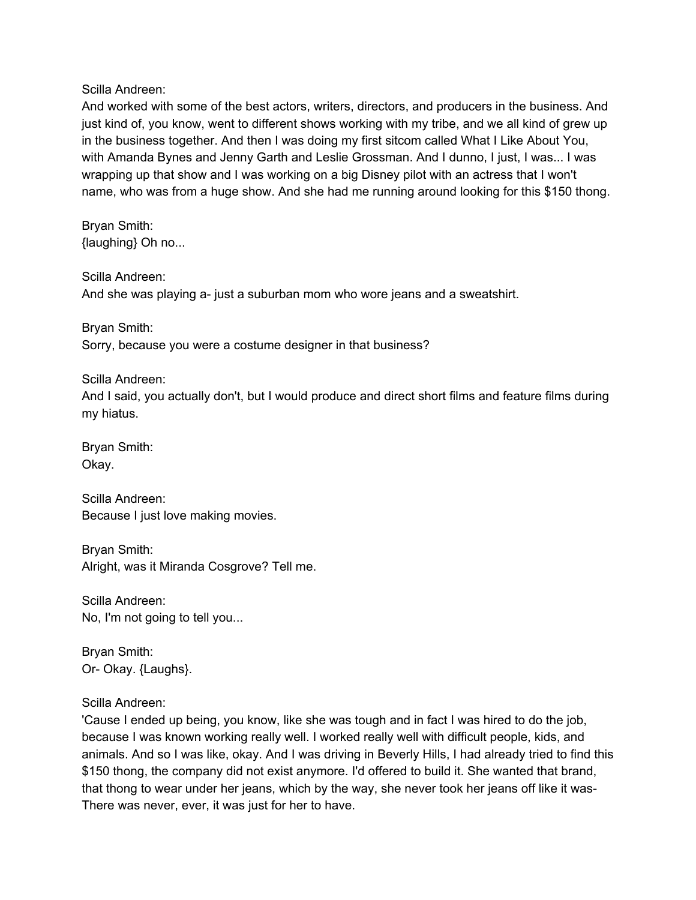Scilla Andreen:

And worked with some of the best actors, writers, directors, and producers in the business. And just kind of, you know, went to different shows working with my tribe, and we all kind of grew up in the business together. And then I was doing my first sitcom called What I Like About You, with Amanda Bynes and Jenny Garth and Leslie Grossman. And I dunno, I just, I was... I was wrapping up that show and I was working on a big Disney pilot with an actress that I won't name, who was from a huge show. And she had me running around looking for this \$150 thong.

Bryan Smith: {laughing} Oh no...

Scilla Andreen: And she was playing a- just a suburban mom who wore jeans and a sweatshirt.

Bryan Smith: Sorry, because you were a costume designer in that business?

Scilla Andreen:

And I said, you actually don't, but I would produce and direct short films and feature films during my hiatus.

Bryan Smith: Okay.

Scilla Andreen: Because I just love making movies.

Bryan Smith: Alright, was it Miranda Cosgrove? Tell me.

Scilla Andreen: No, I'm not going to tell you...

Bryan Smith: Or- Okay. {Laughs}.

Scilla Andreen:

'Cause I ended up being, you know, like she was tough and in fact I was hired to do the job, because I was known working really well. I worked really well with difficult people, kids, and animals. And so I was like, okay. And I was driving in Beverly Hills, I had already tried to find this \$150 thong, the company did not exist anymore. I'd offered to build it. She wanted that brand, that thong to wear under her jeans, which by the way, she never took her jeans off like it was-There was never, ever, it was just for her to have.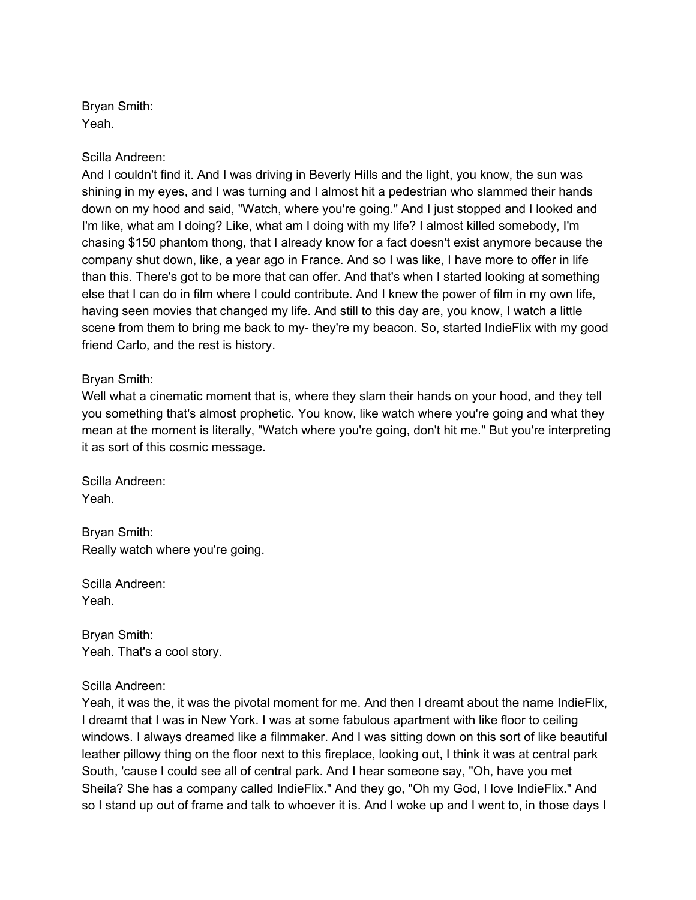Bryan Smith: Yeah.

Scilla Andreen:

And I couldn't find it. And I was driving in Beverly Hills and the light, you know, the sun was shining in my eyes, and I was turning and I almost hit a pedestrian who slammed their hands down on my hood and said, "Watch, where you're going." And I just stopped and I looked and I'm like, what am I doing? Like, what am I doing with my life? I almost killed somebody, I'm chasing \$150 phantom thong, that I already know for a fact doesn't exist anymore because the company shut down, like, a year ago in France. And so I was like, I have more to offer in life than this. There's got to be more that can offer. And that's when I started looking at something else that I can do in film where I could contribute. And I knew the power of film in my own life, having seen movies that changed my life. And still to this day are, you know, I watch a little scene from them to bring me back to my- they're my beacon. So, started IndieFlix with my good friend Carlo, and the rest is history.

### Bryan Smith:

Well what a cinematic moment that is, where they slam their hands on your hood, and they tell you something that's almost prophetic. You know, like watch where you're going and what they mean at the moment is literally, "Watch where you're going, don't hit me." But you're interpreting it as sort of this cosmic message.

Scilla Andreen: Yeah.

Bryan Smith: Really watch where you're going.

Scilla Andreen: Yeah.

Bryan Smith: Yeah. That's a cool story.

Scilla Andreen:

Yeah, it was the, it was the pivotal moment for me. And then I dreamt about the name IndieFlix, I dreamt that I was in New York. I was at some fabulous apartment with like floor to ceiling windows. I always dreamed like a filmmaker. And I was sitting down on this sort of like beautiful leather pillowy thing on the floor next to this fireplace, looking out, I think it was at central park South, 'cause I could see all of central park. And I hear someone say, "Oh, have you met Sheila? She has a company called IndieFlix." And they go, "Oh my God, I love IndieFlix." And so I stand up out of frame and talk to whoever it is. And I woke up and I went to, in those days I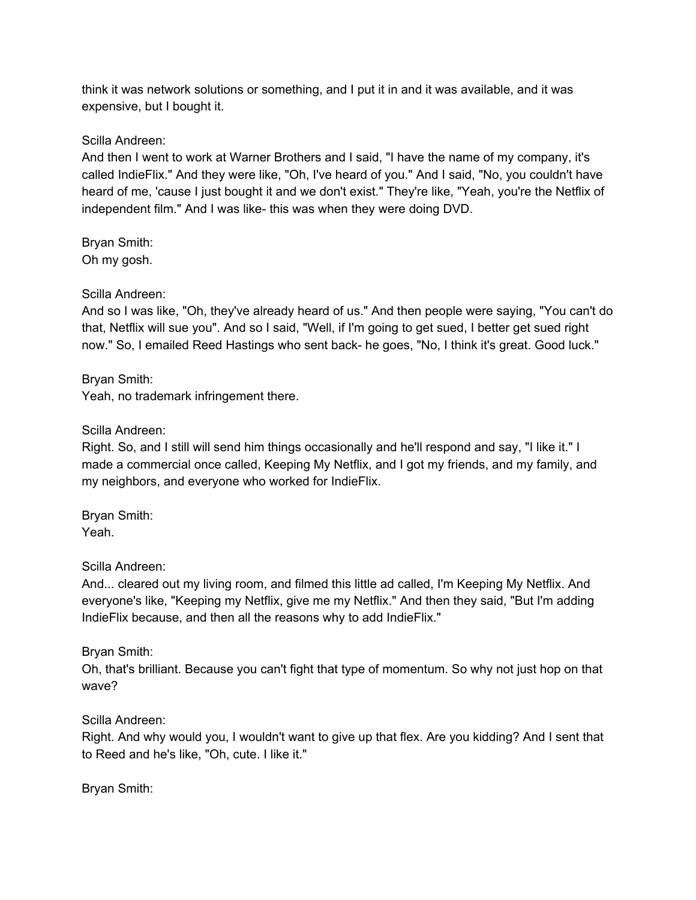think it was network solutions or something, and I put it in and it was available, and it was expensive, but I bought it.

Scilla Andreen:

And then I went to work at Warner Brothers and I said, "I have the name of my company, it's called IndieFlix." And they were like, "Oh, I've heard of you." And I said, "No, you couldn't have heard of me, 'cause I just bought it and we don't exist." They're like, "Yeah, you're the Netflix of independent film." And I was like- this was when they were doing DVD.

Bryan Smith: Oh my gosh.

### Scilla Andreen:

And so I was like, "Oh, they've already heard of us." And then people were saying, "You can't do that, Netflix will sue you". And so I said, "Well, if I'm going to get sued, I better get sued right now." So, I emailed Reed Hastings who sent back- he goes, "No, I think it's great. Good luck."

Bryan Smith: Yeah, no trademark infringement there.

### Scilla Andreen:

Right. So, and I still will send him things occasionally and he'll respond and say, "I like it." I made a commercial once called, Keeping My Netflix, and I got my friends, and my family, and my neighbors, and everyone who worked for IndieFlix.

Bryan Smith: Yeah.

Scilla Andreen:

And... cleared out my living room, and filmed this little ad called, I'm Keeping My Netflix. And everyone's like, "Keeping my Netflix, give me my Netflix." And then they said, "But I'm adding IndieFlix because, and then all the reasons why to add IndieFlix."

Bryan Smith:

Oh, that's brilliant. Because you can't fight that type of momentum. So why not just hop on that wave?

Scilla Andreen:

Right. And why would you, I wouldn't want to give up that flex. Are you kidding? And I sent that to Reed and he's like, "Oh, cute. I like it."

Bryan Smith: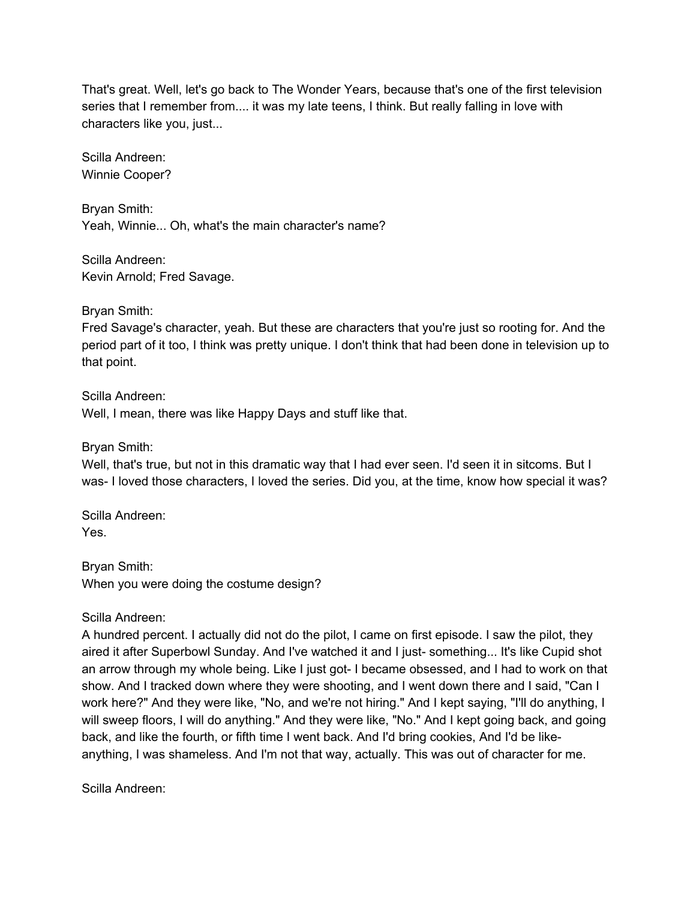That's great. Well, let's go back to The Wonder Years, because that's one of the first television series that I remember from.... it was my late teens, I think. But really falling in love with characters like you, just...

Scilla Andreen: Winnie Cooper?

Bryan Smith: Yeah, Winnie... Oh, what's the main character's name?

Scilla Andreen: Kevin Arnold; Fred Savage.

Bryan Smith:

Fred Savage's character, yeah. But these are characters that you're just so rooting for. And the period part of it too, I think was pretty unique. I don't think that had been done in television up to that point.

Scilla Andreen: Well, I mean, there was like Happy Days and stuff like that.

Bryan Smith:

Well, that's true, but not in this dramatic way that I had ever seen. I'd seen it in sitcoms. But I was- I loved those characters, I loved the series. Did you, at the time, know how special it was?

Scilla Andreen: Yes.

Bryan Smith: When you were doing the costume design?

Scilla Andreen:

A hundred percent. I actually did not do the pilot, I came on first episode. I saw the pilot, they aired it after Superbowl Sunday. And I've watched it and I just- something... It's like Cupid shot an arrow through my whole being. Like I just got- I became obsessed, and I had to work on that show. And I tracked down where they were shooting, and I went down there and I said, "Can I work here?" And they were like, "No, and we're not hiring." And I kept saying, "I'll do anything, I will sweep floors, I will do anything." And they were like, "No." And I kept going back, and going back, and like the fourth, or fifth time I went back. And I'd bring cookies, And I'd be likeanything, I was shameless. And I'm not that way, actually. This was out of character for me.

Scilla Andreen: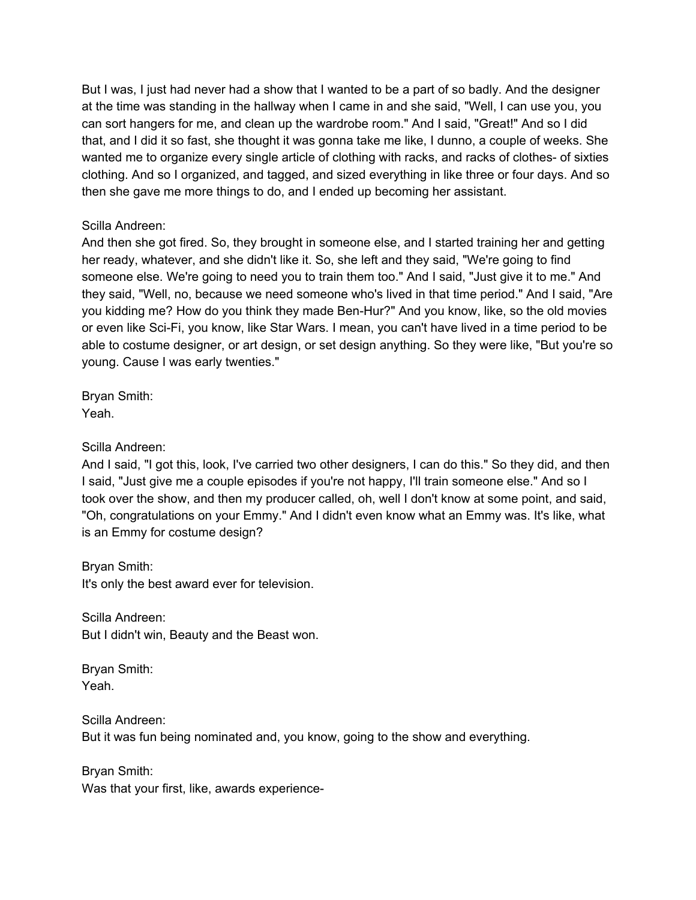But I was, I just had never had a show that I wanted to be a part of so badly. And the designer at the time was standing in the hallway when I came in and she said, "Well, I can use you, you can sort hangers for me, and clean up the wardrobe room." And I said, "Great!" And so I did that, and I did it so fast, she thought it was gonna take me like, I dunno, a couple of weeks. She wanted me to organize every single article of clothing with racks, and racks of clothes- of sixties clothing. And so I organized, and tagged, and sized everything in like three or four days. And so then she gave me more things to do, and I ended up becoming her assistant.

#### Scilla Andreen:

And then she got fired. So, they brought in someone else, and I started training her and getting her ready, whatever, and she didn't like it. So, she left and they said, "We're going to find someone else. We're going to need you to train them too." And I said, "Just give it to me." And they said, "Well, no, because we need someone who's lived in that time period." And I said, "Are you kidding me? How do you think they made Ben-Hur?" And you know, like, so the old movies or even like Sci-Fi, you know, like Star Wars. I mean, you can't have lived in a time period to be able to costume designer, or art design, or set design anything. So they were like, "But you're so young. Cause I was early twenties."

Bryan Smith: Yeah.

#### Scilla Andreen:

And I said, "I got this, look, I've carried two other designers, I can do this." So they did, and then I said, "Just give me a couple episodes if you're not happy, I'll train someone else." And so I took over the show, and then my producer called, oh, well I don't know at some point, and said, "Oh, congratulations on your Emmy." And I didn't even know what an Emmy was. It's like, what is an Emmy for costume design?

Bryan Smith:

It's only the best award ever for television.

Scilla Andreen: But I didn't win, Beauty and the Beast won.

Bryan Smith: Yeah.

Scilla Andreen: But it was fun being nominated and, you know, going to the show and everything.

Bryan Smith: Was that your first, like, awards experience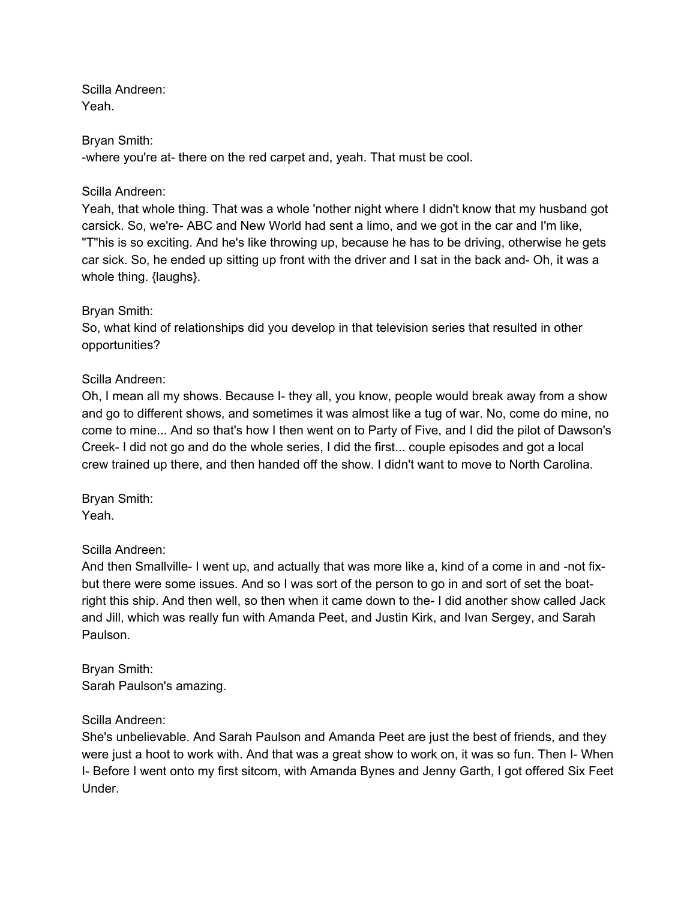Scilla Andreen: Yeah.

### Bryan Smith:

-where you're at- there on the red carpet and, yeah. That must be cool.

### Scilla Andreen:

Yeah, that whole thing. That was a whole 'nother night where I didn't know that my husband got carsick. So, we're- ABC and New World had sent a limo, and we got in the car and I'm like, "T"his is so exciting. And he's like throwing up, because he has to be driving, otherwise he gets car sick. So, he ended up sitting up front with the driver and I sat in the back and- Oh, it was a whole thing. {laughs}.

### Bryan Smith:

So, what kind of relationships did you develop in that television series that resulted in other opportunities?

### Scilla Andreen:

Oh, I mean all my shows. Because I- they all, you know, people would break away from a show and go to different shows, and sometimes it was almost like a tug of war. No, come do mine, no come to mine... And so that's how I then went on to Party of Five, and I did the pilot of Dawson's Creek- I did not go and do the whole series, I did the first... couple episodes and got a local crew trained up there, and then handed off the show. I didn't want to move to North Carolina.

Bryan Smith: Yeah.

# Scilla Andreen:

And then Smallville- I went up, and actually that was more like a, kind of a come in and -not fixbut there were some issues. And so I was sort of the person to go in and sort of set the boatright this ship. And then well, so then when it came down to the- I did another show called Jack and Jill, which was really fun with Amanda Peet, and Justin Kirk, and Ivan Sergey, and Sarah Paulson.

Bryan Smith: Sarah Paulson's amazing.

# Scilla Andreen:

She's unbelievable. And Sarah Paulson and Amanda Peet are just the best of friends, and they were just a hoot to work with. And that was a great show to work on, it was so fun. Then I- When I- Before I went onto my first sitcom, with Amanda Bynes and Jenny Garth, I got offered Six Feet Under.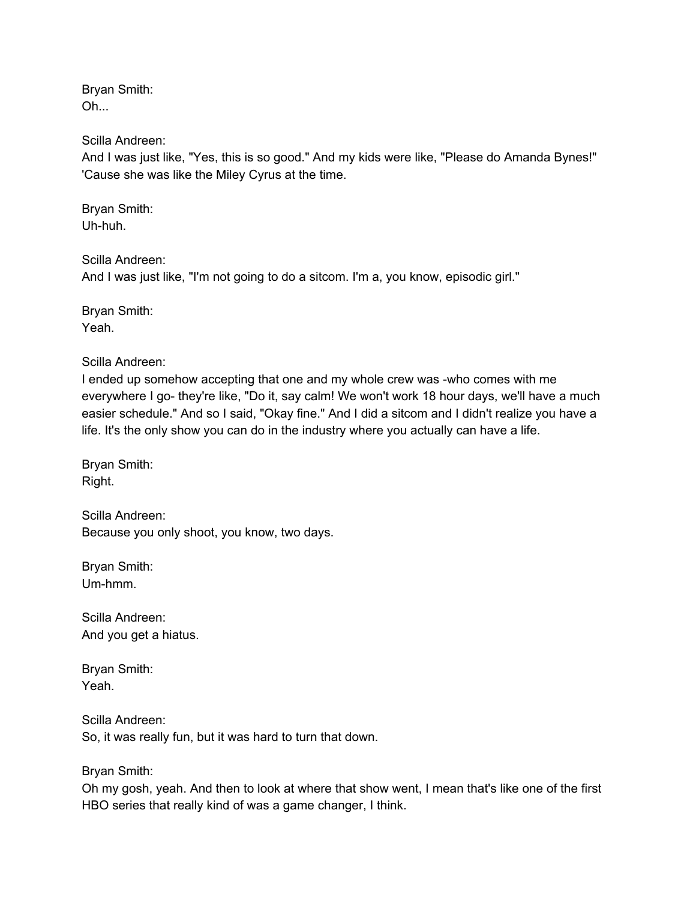Bryan Smith: Oh...

Scilla Andreen:

And I was just like, "Yes, this is so good." And my kids were like, "Please do Amanda Bynes!" 'Cause she was like the Miley Cyrus at the time.

Bryan Smith: Uh-huh.

Scilla Andreen:

And I was just like, "I'm not going to do a sitcom. I'm a, you know, episodic girl."

Bryan Smith: Yeah.

Scilla Andreen:

I ended up somehow accepting that one and my whole crew was -who comes with me everywhere I go- they're like, "Do it, say calm! We won't work 18 hour days, we'll have a much easier schedule." And so I said, "Okay fine." And I did a sitcom and I didn't realize you have a life. It's the only show you can do in the industry where you actually can have a life.

Bryan Smith: Right.

Scilla Andreen: Because you only shoot, you know, two days.

Bryan Smith: Um-hmm.

Scilla Andreen: And you get a hiatus.

Bryan Smith: Yeah.

Scilla Andreen: So, it was really fun, but it was hard to turn that down.

Bryan Smith:

Oh my gosh, yeah. And then to look at where that show went, I mean that's like one of the first HBO series that really kind of was a game changer, I think.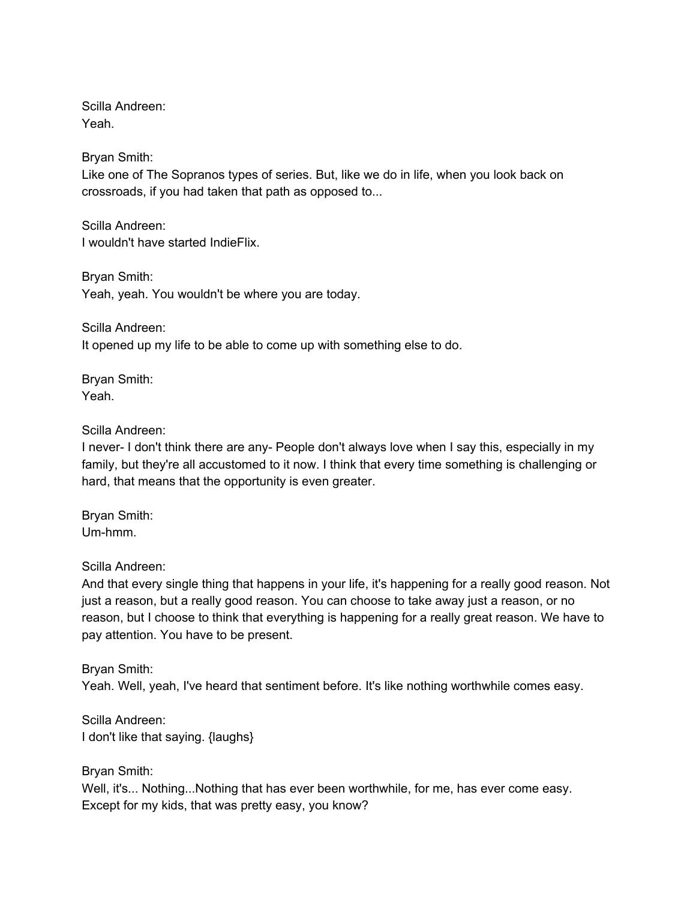Scilla Andreen: Yeah.

Bryan Smith:

Like one of The Sopranos types of series. But, like we do in life, when you look back on crossroads, if you had taken that path as opposed to...

Scilla Andreen: I wouldn't have started IndieFlix.

Bryan Smith: Yeah, yeah. You wouldn't be where you are today.

Scilla Andreen: It opened up my life to be able to come up with something else to do.

Bryan Smith: Yeah.

Scilla Andreen:

I never- I don't think there are any- People don't always love when I say this, especially in my family, but they're all accustomed to it now. I think that every time something is challenging or hard, that means that the opportunity is even greater.

Bryan Smith: Um-hmm.

Scilla Andreen:

And that every single thing that happens in your life, it's happening for a really good reason. Not just a reason, but a really good reason. You can choose to take away just a reason, or no reason, but I choose to think that everything is happening for a really great reason. We have to pay attention. You have to be present.

Bryan Smith: Yeah. Well, yeah, I've heard that sentiment before. It's like nothing worthwhile comes easy.

Scilla Andreen: I don't like that saying. {laughs}

Bryan Smith: Well, it's... Nothing...Nothing that has ever been worthwhile, for me, has ever come easy. Except for my kids, that was pretty easy, you know?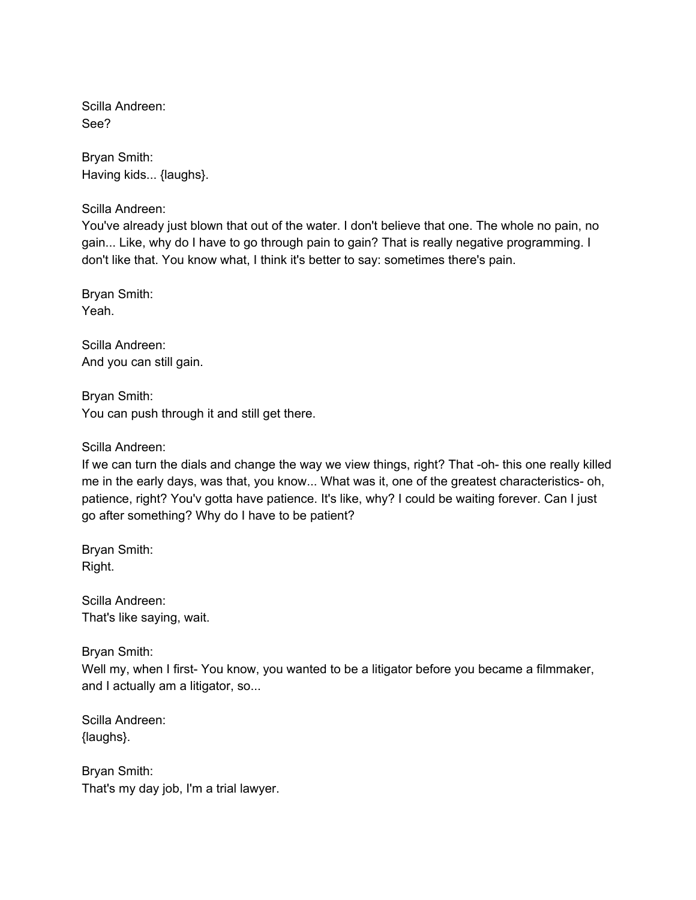Scilla Andreen: See?

Bryan Smith: Having kids... {laughs}.

Scilla Andreen:

You've already just blown that out of the water. I don't believe that one. The whole no pain, no gain... Like, why do I have to go through pain to gain? That is really negative programming. I don't like that. You know what, I think it's better to say: sometimes there's pain.

Bryan Smith: Yeah.

Scilla Andreen: And you can still gain.

Bryan Smith: You can push through it and still get there.

Scilla Andreen:

If we can turn the dials and change the way we view things, right? That -oh- this one really killed me in the early days, was that, you know... What was it, one of the greatest characteristics- oh, patience, right? You'v gotta have patience. It's like, why? I could be waiting forever. Can I just go after something? Why do I have to be patient?

Bryan Smith: Right.

Scilla Andreen: That's like saying, wait.

Bryan Smith:

Well my, when I first- You know, you wanted to be a litigator before you became a filmmaker, and I actually am a litigator, so...

Scilla Andreen: {laughs}.

Bryan Smith: That's my day job, I'm a trial lawyer.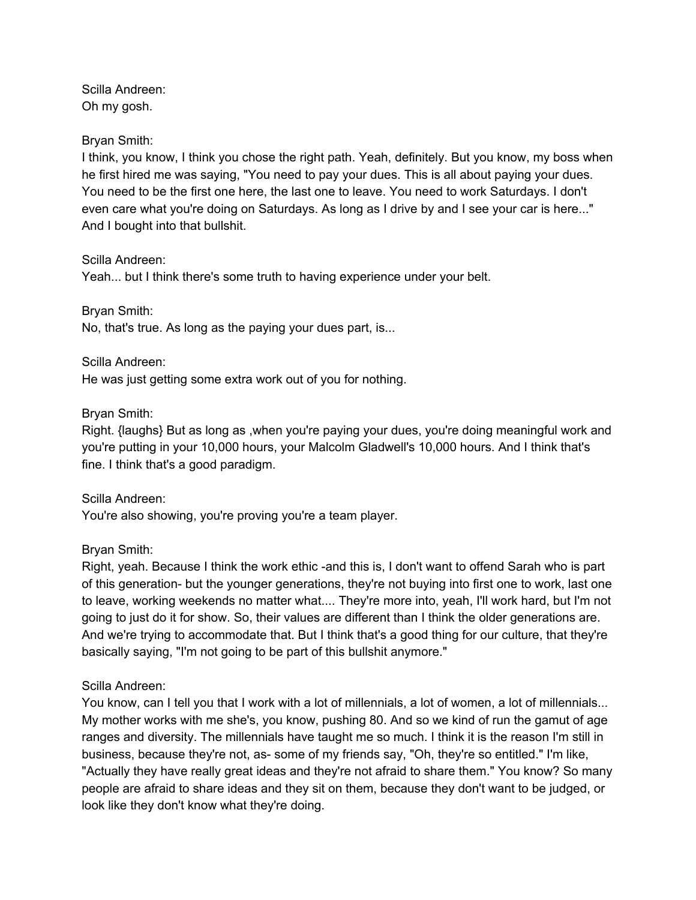Scilla Andreen: Oh my gosh.

#### Bryan Smith:

I think, you know, I think you chose the right path. Yeah, definitely. But you know, my boss when he first hired me was saying, "You need to pay your dues. This is all about paying your dues. You need to be the first one here, the last one to leave. You need to work Saturdays. I don't even care what you're doing on Saturdays. As long as I drive by and I see your car is here..." And I bought into that bullshit.

#### Scilla Andreen:

Yeah... but I think there's some truth to having experience under your belt.

Bryan Smith:

No, that's true. As long as the paying your dues part, is...

#### Scilla Andreen:

He was just getting some extra work out of you for nothing.

#### Bryan Smith:

Right. {laughs} But as long as ,when you're paying your dues, you're doing meaningful work and you're putting in your 10,000 hours, your Malcolm Gladwell's 10,000 hours. And I think that's fine. I think that's a good paradigm.

Scilla Andreen:

You're also showing, you're proving you're a team player.

#### Bryan Smith:

Right, yeah. Because I think the work ethic -and this is, I don't want to offend Sarah who is part of this generation- but the younger generations, they're not buying into first one to work, last one to leave, working weekends no matter what.... They're more into, yeah, I'll work hard, but I'm not going to just do it for show. So, their values are different than I think the older generations are. And we're trying to accommodate that. But I think that's a good thing for our culture, that they're basically saying, "I'm not going to be part of this bullshit anymore."

#### Scilla Andreen:

You know, can I tell you that I work with a lot of millennials, a lot of women, a lot of millennials... My mother works with me she's, you know, pushing 80. And so we kind of run the gamut of age ranges and diversity. The millennials have taught me so much. I think it is the reason I'm still in business, because they're not, as- some of my friends say, "Oh, they're so entitled." I'm like, "Actually they have really great ideas and they're not afraid to share them." You know? So many people are afraid to share ideas and they sit on them, because they don't want to be judged, or look like they don't know what they're doing.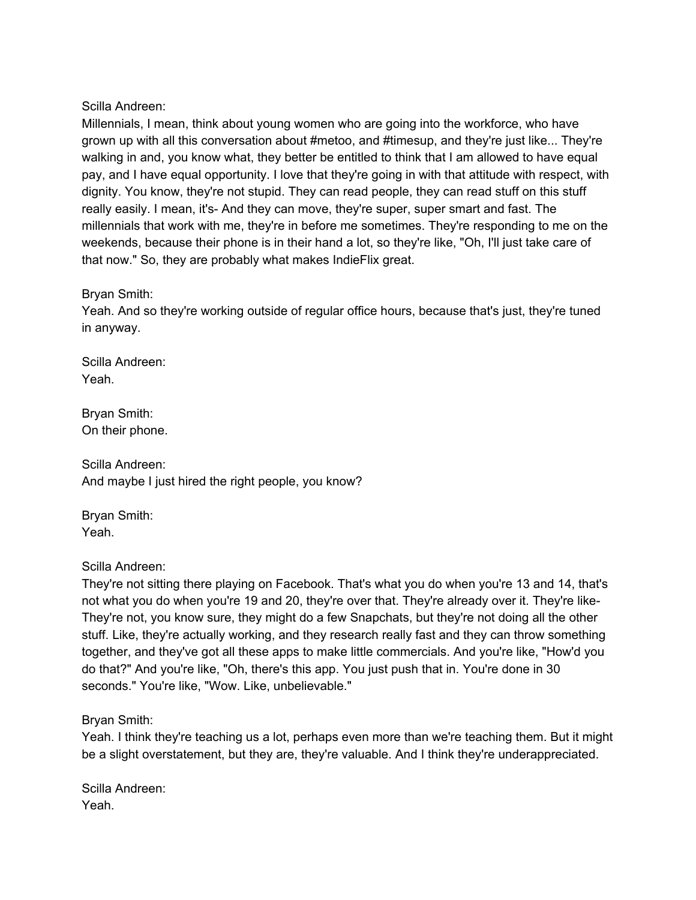Scilla Andreen:

Millennials, I mean, think about young women who are going into the workforce, who have grown up with all this conversation about #metoo, and #timesup, and they're just like... They're walking in and, you know what, they better be entitled to think that I am allowed to have equal pay, and I have equal opportunity. I love that they're going in with that attitude with respect, with dignity. You know, they're not stupid. They can read people, they can read stuff on this stuff really easily. I mean, it's- And they can move, they're super, super smart and fast. The millennials that work with me, they're in before me sometimes. They're responding to me on the weekends, because their phone is in their hand a lot, so they're like, "Oh, I'll just take care of that now." So, they are probably what makes IndieFlix great.

### Bryan Smith:

Yeah. And so they're working outside of regular office hours, because that's just, they're tuned in anyway.

Scilla Andreen: Yeah.

Bryan Smith: On their phone.

Scilla Andreen: And maybe I just hired the right people, you know?

Bryan Smith: Yeah.

Scilla Andreen:

They're not sitting there playing on Facebook. That's what you do when you're 13 and 14, that's not what you do when you're 19 and 20, they're over that. They're already over it. They're like-They're not, you know sure, they might do a few Snapchats, but they're not doing all the other stuff. Like, they're actually working, and they research really fast and they can throw something together, and they've got all these apps to make little commercials. And you're like, "How'd you do that?" And you're like, "Oh, there's this app. You just push that in. You're done in 30 seconds." You're like, "Wow. Like, unbelievable."

Bryan Smith:

Yeah. I think they're teaching us a lot, perhaps even more than we're teaching them. But it might be a slight overstatement, but they are, they're valuable. And I think they're underappreciated.

Scilla Andreen: Yeah.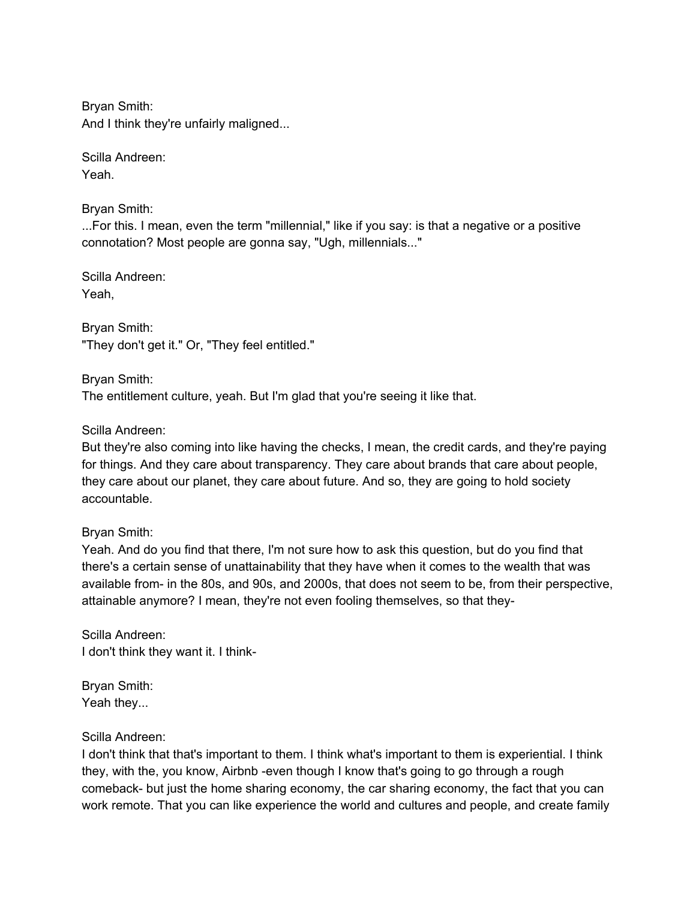Bryan Smith: And I think they're unfairly maligned...

Scilla Andreen: Yeah.

Bryan Smith:

...For this. I mean, even the term "millennial," like if you say: is that a negative or a positive connotation? Most people are gonna say, "Ugh, millennials..."

Scilla Andreen: Yeah,

Bryan Smith: "They don't get it." Or, "They feel entitled."

Bryan Smith: The entitlement culture, yeah. But I'm glad that you're seeing it like that.

Scilla Andreen:

But they're also coming into like having the checks, I mean, the credit cards, and they're paying for things. And they care about transparency. They care about brands that care about people, they care about our planet, they care about future. And so, they are going to hold society accountable.

Bryan Smith:

Yeah. And do you find that there, I'm not sure how to ask this question, but do you find that there's a certain sense of unattainability that they have when it comes to the wealth that was available from- in the 80s, and 90s, and 2000s, that does not seem to be, from their perspective, attainable anymore? I mean, they're not even fooling themselves, so that they-

Scilla Andreen: I don't think they want it. I think-

Bryan Smith: Yeah they...

# Scilla Andreen:

I don't think that that's important to them. I think what's important to them is experiential. I think they, with the, you know, Airbnb -even though I know that's going to go through a rough comeback- but just the home sharing economy, the car sharing economy, the fact that you can work remote. That you can like experience the world and cultures and people, and create family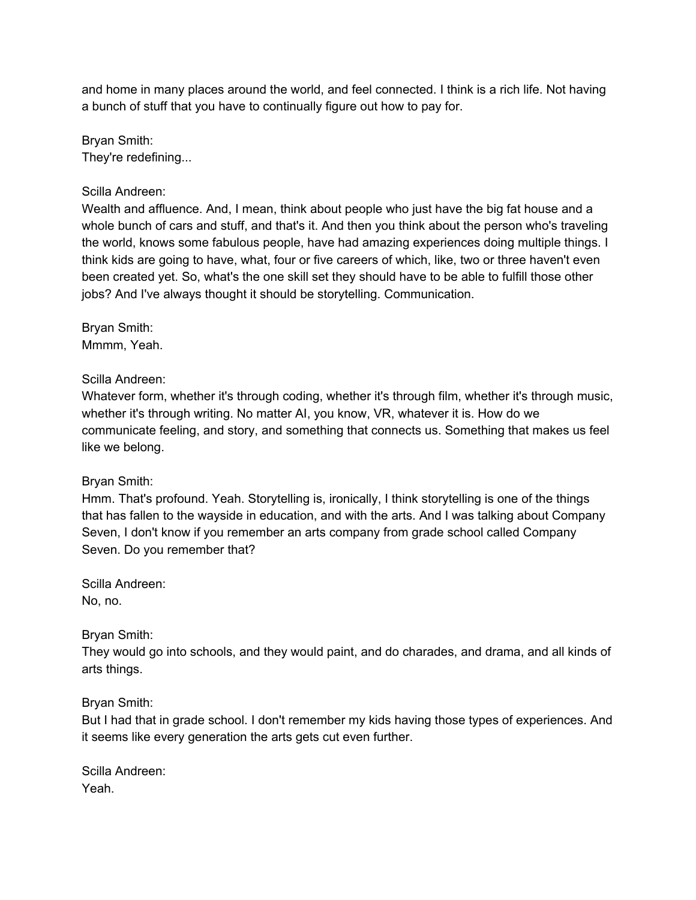and home in many places around the world, and feel connected. I think is a rich life. Not having a bunch of stuff that you have to continually figure out how to pay for.

Bryan Smith: They're redefining...

Scilla Andreen:

Wealth and affluence. And, I mean, think about people who just have the big fat house and a whole bunch of cars and stuff, and that's it. And then you think about the person who's traveling the world, knows some fabulous people, have had amazing experiences doing multiple things. I think kids are going to have, what, four or five careers of which, like, two or three haven't even been created yet. So, what's the one skill set they should have to be able to fulfill those other jobs? And I've always thought it should be storytelling. Communication.

Bryan Smith: Mmmm, Yeah.

Scilla Andreen:

Whatever form, whether it's through coding, whether it's through film, whether it's through music, whether it's through writing. No matter AI, you know, VR, whatever it is. How do we communicate feeling, and story, and something that connects us. Something that makes us feel like we belong.

# Bryan Smith:

Hmm. That's profound. Yeah. Storytelling is, ironically, I think storytelling is one of the things that has fallen to the wayside in education, and with the arts. And I was talking about Company Seven, I don't know if you remember an arts company from grade school called Company Seven. Do you remember that?

Scilla Andreen: No, no.

Bryan Smith:

They would go into schools, and they would paint, and do charades, and drama, and all kinds of arts things.

Bryan Smith:

But I had that in grade school. I don't remember my kids having those types of experiences. And it seems like every generation the arts gets cut even further.

Scilla Andreen: Yeah.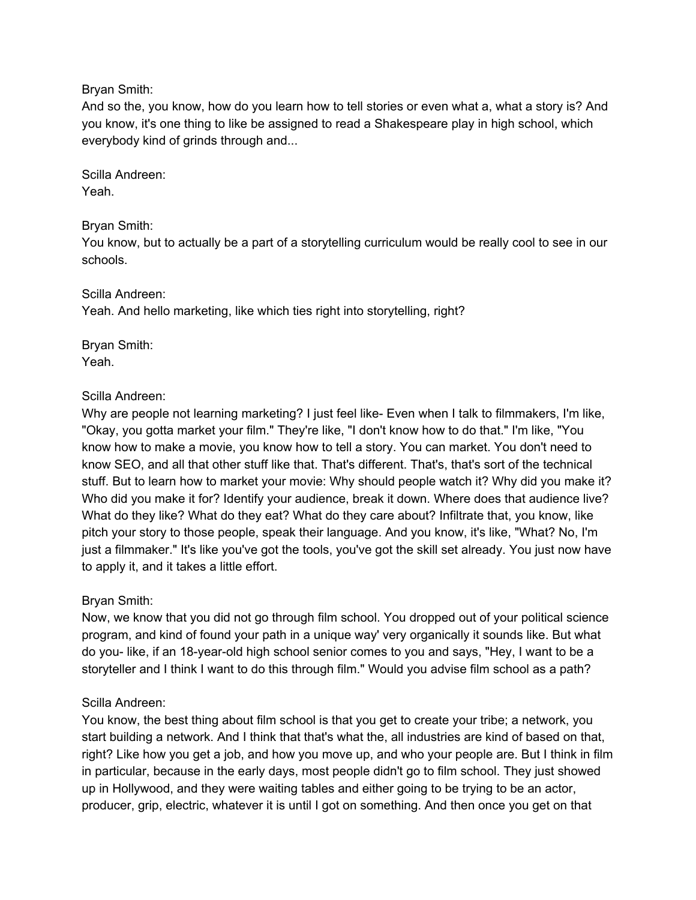Bryan Smith:

And so the, you know, how do you learn how to tell stories or even what a, what a story is? And you know, it's one thing to like be assigned to read a Shakespeare play in high school, which everybody kind of grinds through and...

Scilla Andreen: Yeah.

Bryan Smith:

You know, but to actually be a part of a storytelling curriculum would be really cool to see in our schools.

Scilla Andreen: Yeah. And hello marketing, like which ties right into storytelling, right?

Bryan Smith: Yeah.

# Scilla Andreen:

Why are people not learning marketing? I just feel like- Even when I talk to filmmakers, I'm like, "Okay, you gotta market your film." They're like, "I don't know how to do that." I'm like, "You know how to make a movie, you know how to tell a story. You can market. You don't need to know SEO, and all that other stuff like that. That's different. That's, that's sort of the technical stuff. But to learn how to market your movie: Why should people watch it? Why did you make it? Who did you make it for? Identify your audience, break it down. Where does that audience live? What do they like? What do they eat? What do they care about? Infiltrate that, you know, like pitch your story to those people, speak their language. And you know, it's like, "What? No, I'm just a filmmaker." It's like you've got the tools, you've got the skill set already. You just now have to apply it, and it takes a little effort.

# Bryan Smith:

Now, we know that you did not go through film school. You dropped out of your political science program, and kind of found your path in a unique way' very organically it sounds like. But what do you- like, if an 18-year-old high school senior comes to you and says, "Hey, I want to be a storyteller and I think I want to do this through film." Would you advise film school as a path?

# Scilla Andreen:

You know, the best thing about film school is that you get to create your tribe; a network, you start building a network. And I think that that's what the, all industries are kind of based on that, right? Like how you get a job, and how you move up, and who your people are. But I think in film in particular, because in the early days, most people didn't go to film school. They just showed up in Hollywood, and they were waiting tables and either going to be trying to be an actor, producer, grip, electric, whatever it is until I got on something. And then once you get on that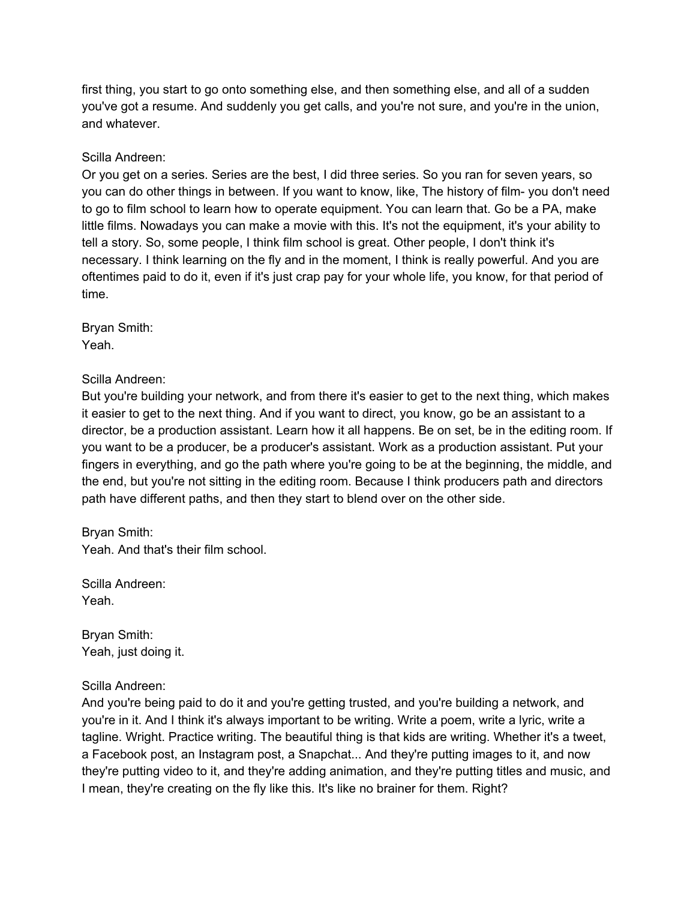first thing, you start to go onto something else, and then something else, and all of a sudden you've got a resume. And suddenly you get calls, and you're not sure, and you're in the union, and whatever.

Scilla Andreen:

Or you get on a series. Series are the best, I did three series. So you ran for seven years, so you can do other things in between. If you want to know, like, The history of film- you don't need to go to film school to learn how to operate equipment. You can learn that. Go be a PA, make little films. Nowadays you can make a movie with this. It's not the equipment, it's your ability to tell a story. So, some people, I think film school is great. Other people, I don't think it's necessary. I think learning on the fly and in the moment, I think is really powerful. And you are oftentimes paid to do it, even if it's just crap pay for your whole life, you know, for that period of time.

Bryan Smith: Yeah.

Scilla Andreen:

But you're building your network, and from there it's easier to get to the next thing, which makes it easier to get to the next thing. And if you want to direct, you know, go be an assistant to a director, be a production assistant. Learn how it all happens. Be on set, be in the editing room. If you want to be a producer, be a producer's assistant. Work as a production assistant. Put your fingers in everything, and go the path where you're going to be at the beginning, the middle, and the end, but you're not sitting in the editing room. Because I think producers path and directors path have different paths, and then they start to blend over on the other side.

Bryan Smith: Yeah. And that's their film school.

Scilla Andreen: Yeah.

Bryan Smith: Yeah, just doing it.

Scilla Andreen:

And you're being paid to do it and you're getting trusted, and you're building a network, and you're in it. And I think it's always important to be writing. Write a poem, write a lyric, write a tagline. Wright. Practice writing. The beautiful thing is that kids are writing. Whether it's a tweet, a Facebook post, an Instagram post, a Snapchat... And they're putting images to it, and now they're putting video to it, and they're adding animation, and they're putting titles and music, and I mean, they're creating on the fly like this. It's like no brainer for them. Right?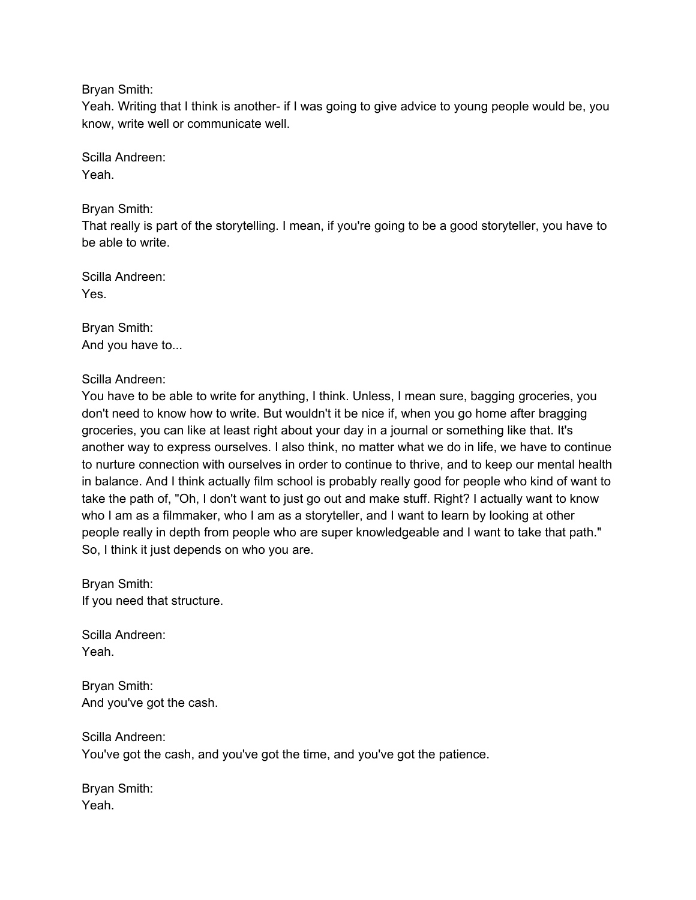Bryan Smith:

Yeah. Writing that I think is another- if I was going to give advice to young people would be, you know, write well or communicate well.

Scilla Andreen: Yeah.

Bryan Smith:

That really is part of the storytelling. I mean, if you're going to be a good storyteller, you have to be able to write.

Scilla Andreen: Yes.

Bryan Smith: And you have to...

Scilla Andreen:

You have to be able to write for anything, I think. Unless, I mean sure, bagging groceries, you don't need to know how to write. But wouldn't it be nice if, when you go home after bragging groceries, you can like at least right about your day in a journal or something like that. It's another way to express ourselves. I also think, no matter what we do in life, we have to continue to nurture connection with ourselves in order to continue to thrive, and to keep our mental health in balance. And I think actually film school is probably really good for people who kind of want to take the path of, "Oh, I don't want to just go out and make stuff. Right? I actually want to know who I am as a filmmaker, who I am as a storyteller, and I want to learn by looking at other people really in depth from people who are super knowledgeable and I want to take that path." So, I think it just depends on who you are.

Bryan Smith: If you need that structure.

Scilla Andreen: Yeah.

Bryan Smith: And you've got the cash.

Scilla Andreen: You've got the cash, and you've got the time, and you've got the patience.

Bryan Smith: Yeah.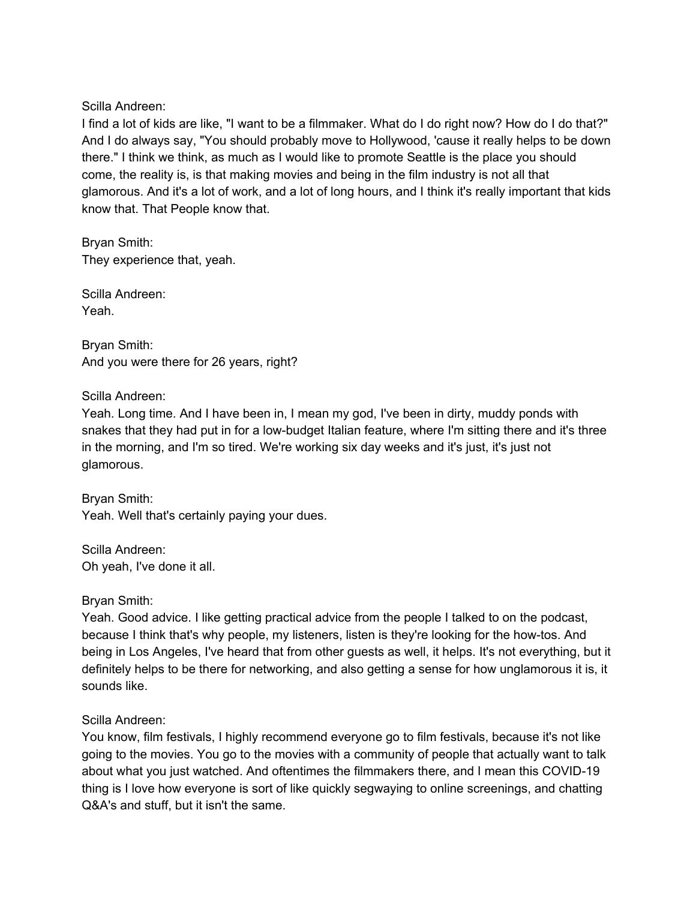Scilla Andreen:

I find a lot of kids are like, "I want to be a filmmaker. What do I do right now? How do I do that?" And I do always say, "You should probably move to Hollywood, 'cause it really helps to be down there." I think we think, as much as I would like to promote Seattle is the place you should come, the reality is, is that making movies and being in the film industry is not all that glamorous. And it's a lot of work, and a lot of long hours, and I think it's really important that kids know that. That People know that.

Bryan Smith: They experience that, yeah.

Scilla Andreen: Yeah.

Bryan Smith: And you were there for 26 years, right?

Scilla Andreen:

Yeah. Long time. And I have been in, I mean my god, I've been in dirty, muddy ponds with snakes that they had put in for a low-budget Italian feature, where I'm sitting there and it's three in the morning, and I'm so tired. We're working six day weeks and it's just, it's just not glamorous.

Bryan Smith: Yeah. Well that's certainly paying your dues.

Scilla Andreen: Oh yeah, I've done it all.

Bryan Smith:

Yeah. Good advice. I like getting practical advice from the people I talked to on the podcast, because I think that's why people, my listeners, listen is they're looking for the how-tos. And being in Los Angeles, I've heard that from other guests as well, it helps. It's not everything, but it definitely helps to be there for networking, and also getting a sense for how unglamorous it is, it sounds like.

Scilla Andreen:

You know, film festivals, I highly recommend everyone go to film festivals, because it's not like going to the movies. You go to the movies with a community of people that actually want to talk about what you just watched. And oftentimes the filmmakers there, and I mean this COVID-19 thing is I love how everyone is sort of like quickly segwaying to online screenings, and chatting Q&A's and stuff, but it isn't the same.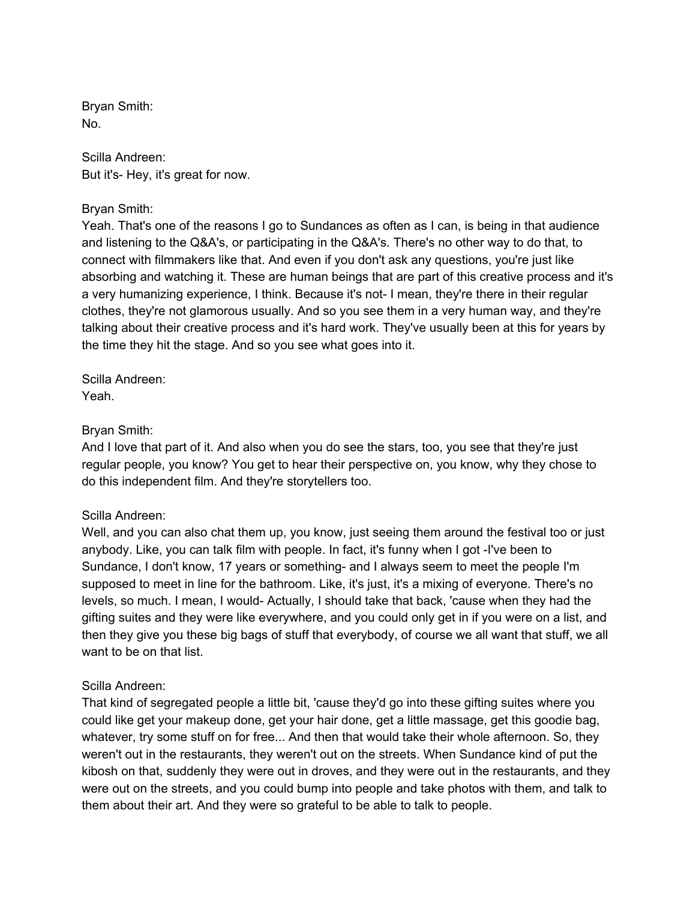Bryan Smith: No.

Scilla Andreen: But it's- Hey, it's great for now.

### Bryan Smith:

Yeah. That's one of the reasons I go to Sundances as often as I can, is being in that audience and listening to the Q&A's, or participating in the Q&A's. There's no other way to do that, to connect with filmmakers like that. And even if you don't ask any questions, you're just like absorbing and watching it. These are human beings that are part of this creative process and it's a very humanizing experience, I think. Because it's not- I mean, they're there in their regular clothes, they're not glamorous usually. And so you see them in a very human way, and they're talking about their creative process and it's hard work. They've usually been at this for years by the time they hit the stage. And so you see what goes into it.

Scilla Andreen: Yeah.

#### Bryan Smith:

And I love that part of it. And also when you do see the stars, too, you see that they're just regular people, you know? You get to hear their perspective on, you know, why they chose to do this independent film. And they're storytellers too.

# Scilla Andreen:

Well, and you can also chat them up, you know, just seeing them around the festival too or just anybody. Like, you can talk film with people. In fact, it's funny when I got -I've been to Sundance, I don't know, 17 years or something- and I always seem to meet the people I'm supposed to meet in line for the bathroom. Like, it's just, it's a mixing of everyone. There's no levels, so much. I mean, I would- Actually, I should take that back, 'cause when they had the gifting suites and they were like everywhere, and you could only get in if you were on a list, and then they give you these big bags of stuff that everybody, of course we all want that stuff, we all want to be on that list.

#### Scilla Andreen:

That kind of segregated people a little bit, 'cause they'd go into these gifting suites where you could like get your makeup done, get your hair done, get a little massage, get this goodie bag, whatever, try some stuff on for free... And then that would take their whole afternoon. So, they weren't out in the restaurants, they weren't out on the streets. When Sundance kind of put the kibosh on that, suddenly they were out in droves, and they were out in the restaurants, and they were out on the streets, and you could bump into people and take photos with them, and talk to them about their art. And they were so grateful to be able to talk to people.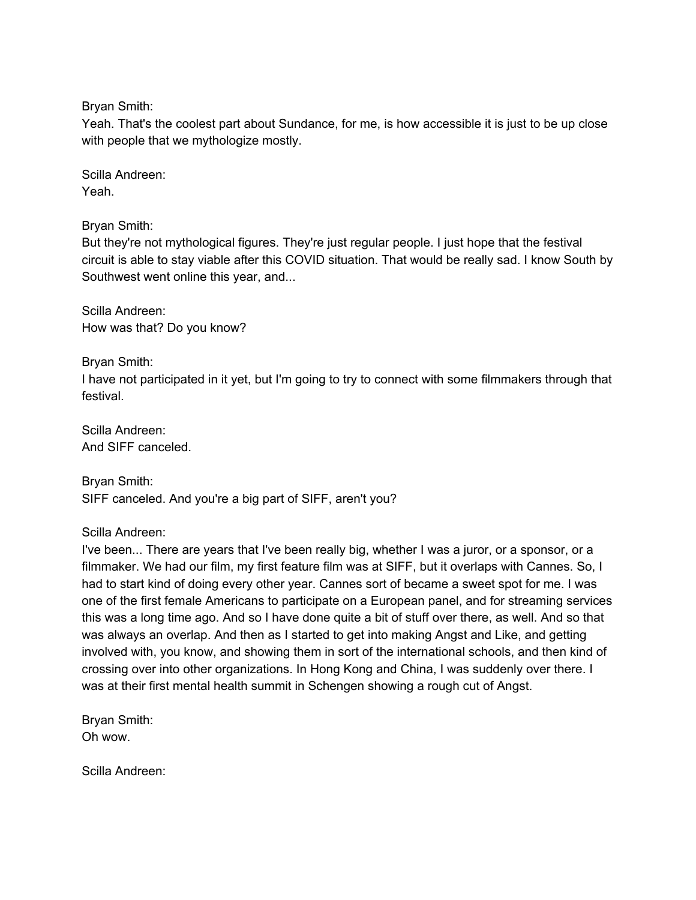Bryan Smith:

Yeah. That's the coolest part about Sundance, for me, is how accessible it is just to be up close with people that we mythologize mostly.

Scilla Andreen: Yeah.

Bryan Smith:

But they're not mythological figures. They're just regular people. I just hope that the festival circuit is able to stay viable after this COVID situation. That would be really sad. I know South by Southwest went online this year, and...

Scilla Andreen: How was that? Do you know?

Bryan Smith:

I have not participated in it yet, but I'm going to try to connect with some filmmakers through that festival.

Scilla Andreen: And SIFF canceled.

Bryan Smith: SIFF canceled. And you're a big part of SIFF, aren't you?

Scilla Andreen:

I've been... There are years that I've been really big, whether I was a juror, or a sponsor, or a filmmaker. We had our film, my first feature film was at SIFF, but it overlaps with Cannes. So, I had to start kind of doing every other year. Cannes sort of became a sweet spot for me. I was one of the first female Americans to participate on a European panel, and for streaming services this was a long time ago. And so I have done quite a bit of stuff over there, as well. And so that was always an overlap. And then as I started to get into making Angst and Like, and getting involved with, you know, and showing them in sort of the international schools, and then kind of crossing over into other organizations. In Hong Kong and China, I was suddenly over there. I was at their first mental health summit in Schengen showing a rough cut of Angst.

Bryan Smith: Oh wow.

Scilla Andreen: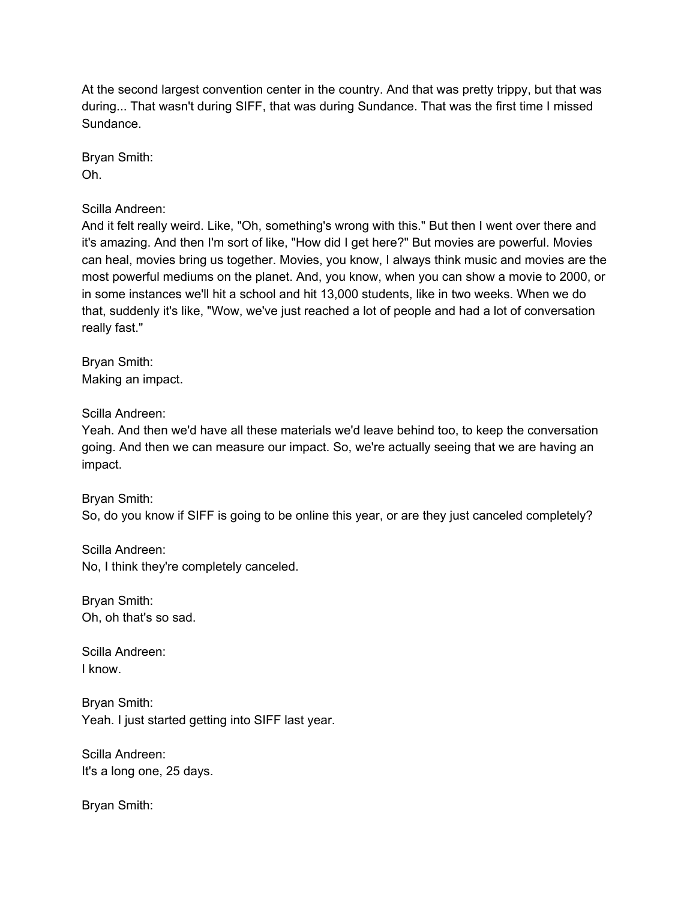At the second largest convention center in the country. And that was pretty trippy, but that was during... That wasn't during SIFF, that was during Sundance. That was the first time I missed Sundance.

Bryan Smith: Oh.

Scilla Andreen:

And it felt really weird. Like, "Oh, something's wrong with this." But then I went over there and it's amazing. And then I'm sort of like, "How did I get here?" But movies are powerful. Movies can heal, movies bring us together. Movies, you know, I always think music and movies are the most powerful mediums on the planet. And, you know, when you can show a movie to 2000, or in some instances we'll hit a school and hit 13,000 students, like in two weeks. When we do that, suddenly it's like, "Wow, we've just reached a lot of people and had a lot of conversation really fast."

Bryan Smith: Making an impact.

Scilla Andreen:

Yeah. And then we'd have all these materials we'd leave behind too, to keep the conversation going. And then we can measure our impact. So, we're actually seeing that we are having an impact.

Bryan Smith: So, do you know if SIFF is going to be online this year, or are they just canceled completely?

Scilla Andreen: No, I think they're completely canceled.

Bryan Smith: Oh, oh that's so sad.

Scilla Andreen: I know.

Bryan Smith: Yeah. I just started getting into SIFF last year.

Scilla Andreen: It's a long one, 25 days.

Bryan Smith: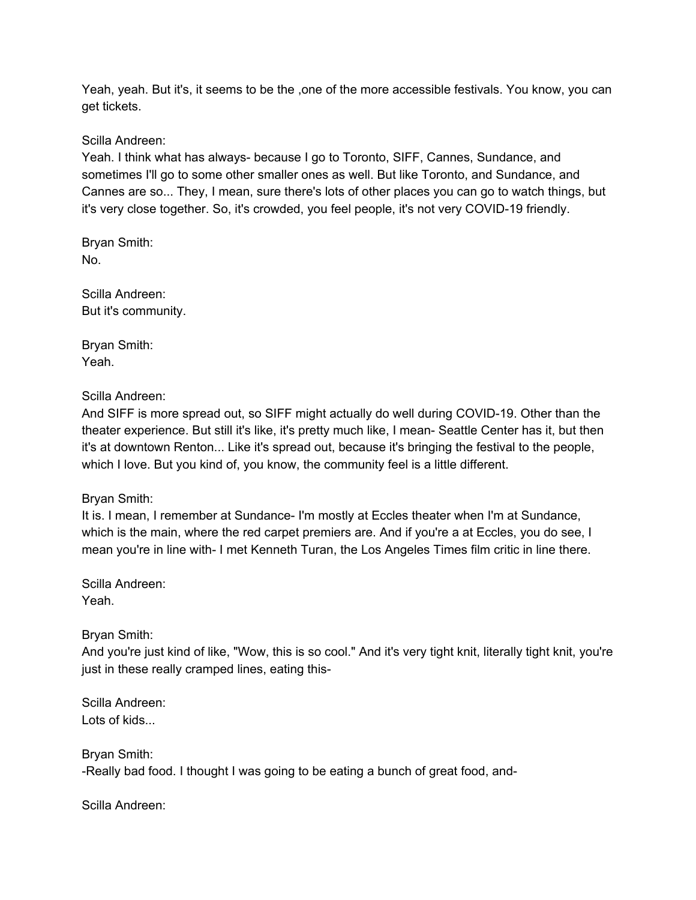Yeah, yeah. But it's, it seems to be the ,one of the more accessible festivals. You know, you can get tickets.

Scilla Andreen:

Yeah. I think what has always- because I go to Toronto, SIFF, Cannes, Sundance, and sometimes I'll go to some other smaller ones as well. But like Toronto, and Sundance, and Cannes are so... They, I mean, sure there's lots of other places you can go to watch things, but it's very close together. So, it's crowded, you feel people, it's not very COVID-19 friendly.

Bryan Smith: No.

Scilla Andreen: But it's community.

Bryan Smith: Yeah.

Scilla Andreen:

And SIFF is more spread out, so SIFF might actually do well during COVID-19. Other than the theater experience. But still it's like, it's pretty much like, I mean- Seattle Center has it, but then it's at downtown Renton... Like it's spread out, because it's bringing the festival to the people, which I love. But you kind of, you know, the community feel is a little different.

Bryan Smith:

It is. I mean, I remember at Sundance- I'm mostly at Eccles theater when I'm at Sundance, which is the main, where the red carpet premiers are. And if you're a at Eccles, you do see, I mean you're in line with- I met Kenneth Turan, the Los Angeles Times film critic in line there.

Scilla Andreen: Yeah.

Bryan Smith:

And you're just kind of like, "Wow, this is so cool." And it's very tight knit, literally tight knit, you're just in these really cramped lines, eating this-

Scilla Andreen: Lots of kids...

Bryan Smith: -Really bad food. I thought I was going to be eating a bunch of great food, and-

Scilla Andreen: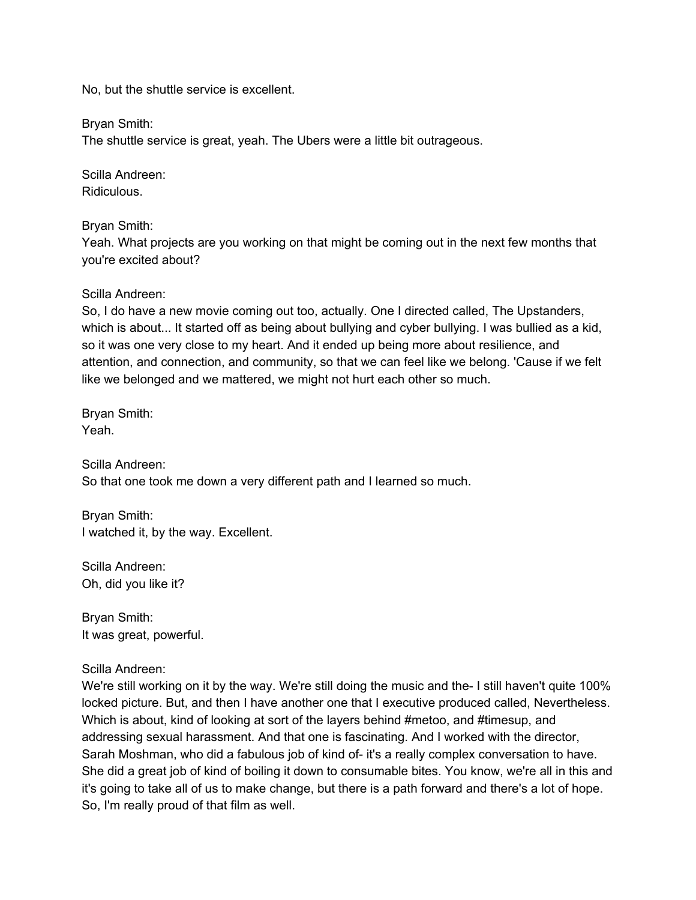No, but the shuttle service is excellent.

Bryan Smith:

The shuttle service is great, yeah. The Ubers were a little bit outrageous.

Scilla Andreen: Ridiculous.

Bryan Smith:

Yeah. What projects are you working on that might be coming out in the next few months that you're excited about?

#### Scilla Andreen:

So, I do have a new movie coming out too, actually. One I directed called, The Upstanders, which is about... It started off as being about bullying and cyber bullying. I was bullied as a kid, so it was one very close to my heart. And it ended up being more about resilience, and attention, and connection, and community, so that we can feel like we belong. 'Cause if we felt like we belonged and we mattered, we might not hurt each other so much.

Bryan Smith: Yeah.

Scilla Andreen: So that one took me down a very different path and I learned so much.

Bryan Smith: I watched it, by the way. Excellent.

Scilla Andreen: Oh, did you like it?

Bryan Smith: It was great, powerful.

Scilla Andreen:

We're still working on it by the way. We're still doing the music and the- I still haven't quite 100% locked picture. But, and then I have another one that I executive produced called, Nevertheless. Which is about, kind of looking at sort of the layers behind #metoo, and #timesup, and addressing sexual harassment. And that one is fascinating. And I worked with the director, Sarah Moshman, who did a fabulous job of kind of- it's a really complex conversation to have. She did a great job of kind of boiling it down to consumable bites. You know, we're all in this and it's going to take all of us to make change, but there is a path forward and there's a lot of hope. So, I'm really proud of that film as well.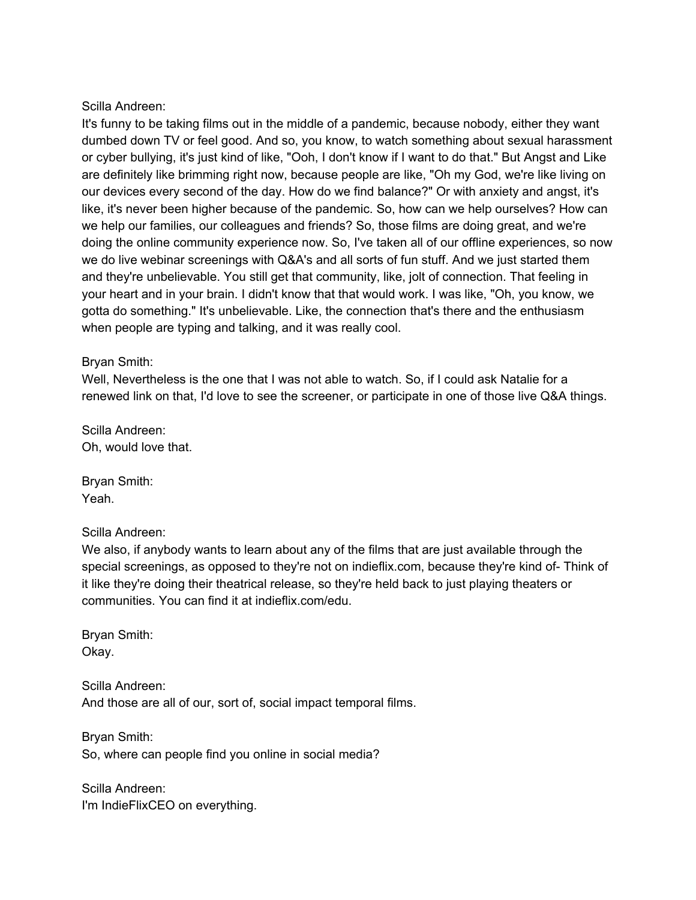#### Scilla Andreen:

It's funny to be taking films out in the middle of a pandemic, because nobody, either they want dumbed down TV or feel good. And so, you know, to watch something about sexual harassment or cyber bullying, it's just kind of like, "Ooh, I don't know if I want to do that." But Angst and Like are definitely like brimming right now, because people are like, "Oh my God, we're like living on our devices every second of the day. How do we find balance?" Or with anxiety and angst, it's like, it's never been higher because of the pandemic. So, how can we help ourselves? How can we help our families, our colleagues and friends? So, those films are doing great, and we're doing the online community experience now. So, I've taken all of our offline experiences, so now we do live webinar screenings with Q&A's and all sorts of fun stuff. And we just started them and they're unbelievable. You still get that community, like, jolt of connection. That feeling in your heart and in your brain. I didn't know that that would work. I was like, "Oh, you know, we gotta do something." It's unbelievable. Like, the connection that's there and the enthusiasm when people are typing and talking, and it was really cool.

#### Bryan Smith:

Well, Nevertheless is the one that I was not able to watch. So, if I could ask Natalie for a renewed link on that, I'd love to see the screener, or participate in one of those live Q&A things.

Scilla Andreen: Oh, would love that.

Bryan Smith: Yeah.

#### Scilla Andreen:

We also, if anybody wants to learn about any of the films that are just available through the special screenings, as opposed to they're not on indieflix.com, because they're kind of- Think of it like they're doing their theatrical release, so they're held back to just playing theaters or communities. You can find it at indieflix.com/edu.

Bryan Smith: Okay.

Scilla Andreen: And those are all of our, sort of, social impact temporal films.

Bryan Smith: So, where can people find you online in social media?

Scilla Andreen: I'm IndieFlixCEO on everything.